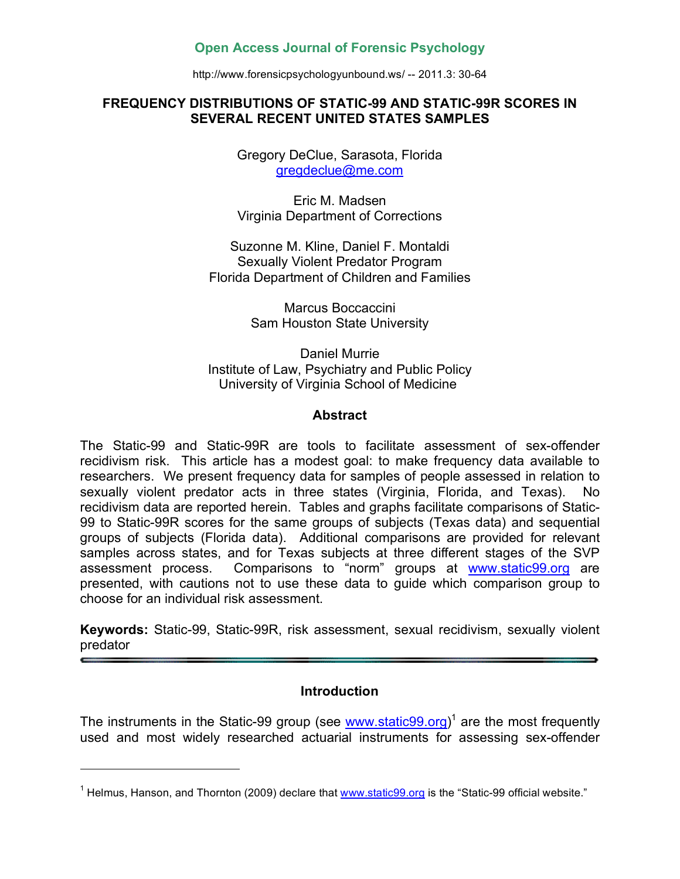# **Open Access Journal of Forensic Psychology**

http://www.forensicpsychologyunbound.ws/ -- 2011.3: 30-64

#### **FREQUENCY DISTRIBUTIONS OF STATIC-99 AND STATIC-99R SCORES IN SEVERAL RECENT UNITED STATES SAMPLES**

Gregory DeClue, Sarasota, Florida gregdeclue@me.com

Eric M. Madsen Virginia Department of Corrections

Suzonne M. Kline, Daniel F. Montaldi Sexually Violent Predator Program Florida Department of Children and Families

> Marcus Boccaccini Sam Houston State University

Daniel Murrie Institute of Law, Psychiatry and Public Policy University of Virginia School of Medicine

# **Abstract**

The Static-99 and Static-99R are tools to facilitate assessment of sex-offender recidivism risk. This article has a modest goal: to make frequency data available to researchers. We present frequency data for samples of people assessed in relation to sexually violent predator acts in three states (Virginia, Florida, and Texas). No recidivism data are reported herein. Tables and graphs facilitate comparisons of Static-99 to Static-99R scores for the same groups of subjects (Texas data) and sequential groups of subjects (Florida data). Additional comparisons are provided for relevant samples across states, and for Texas subjects at three different stages of the SVP assessment process. Comparisons to "norm" groups at www.static99.org are presented, with cautions not to use these data to guide which comparison group to choose for an individual risk assessment.

**Keywords:** Static-99, Static-99R, risk assessment, sexual recidivism, sexually violent predator

# **Introduction**

The instruments in the Static-99 group (see **www.static99.org)<sup>1</sup> are the most frequently** used and most widely researched actuarial instruments for assessing sex-offender

l

<sup>&</sup>lt;sup>1</sup> Helmus, Hanson, and Thornton (2009) declare that www.static99.org is the "Static-99 official website."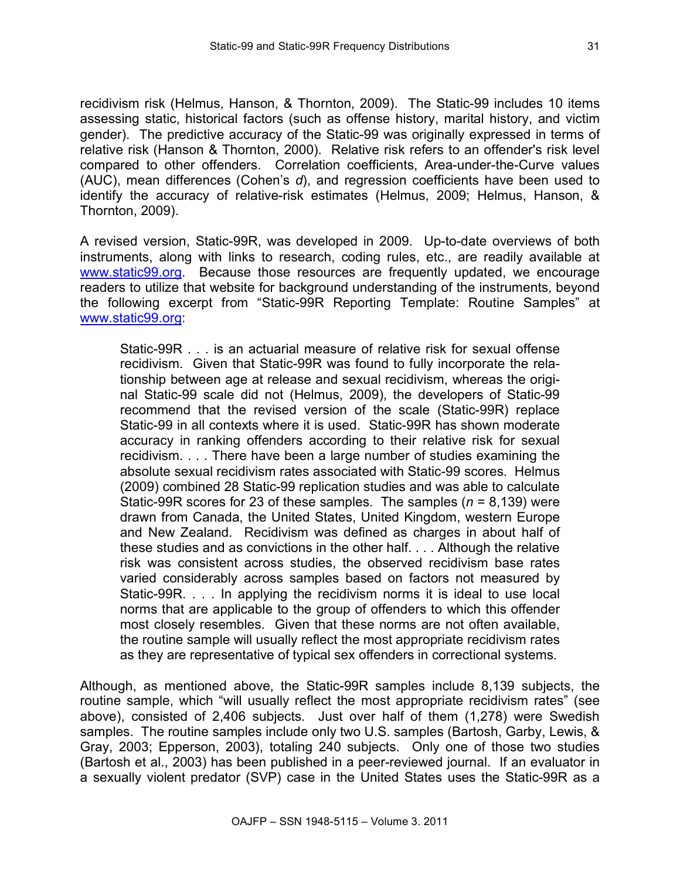recidivism risk (Helmus, Hanson, & Thornton, 2009). The Static-99 includes 10 items assessing static, historical factors (such as offense history, marital history, and victim gender). The predictive accuracy of the Static-99 was originally expressed in terms of relative risk (Hanson & Thornton, 2000). Relative risk refers to an offender's risk level compared to other offenders. Correlation coefficients, Area-under-the-Curve values (AUC), mean differences (Cohen's *d*), and regression coefficients have been used to identify the accuracy of relative-risk estimates (Helmus, 2009; Helmus, Hanson, & Thornton, 2009).

A revised version, Static-99R, was developed in 2009. Up-to-date overviews of both instruments, along with links to research, coding rules, etc., are readily available at www.static99.org. Because those resources are frequently updated, we encourage readers to utilize that website for background understanding of the instruments, beyond the following excerpt from "Static-99R Reporting Template: Routine Samples" at www.static99.org:

Static-99R . . . is an actuarial measure of relative risk for sexual offense recidivism. Given that Static-99R was found to fully incorporate the relationship between age at release and sexual recidivism, whereas the original Static-99 scale did not (Helmus, 2009), the developers of Static-99 recommend that the revised version of the scale (Static-99R) replace Static-99 in all contexts where it is used. Static-99R has shown moderate accuracy in ranking offenders according to their relative risk for sexual recidivism. . . . There have been a large number of studies examining the absolute sexual recidivism rates associated with Static-99 scores. Helmus (2009) combined 28 Static-99 replication studies and was able to calculate Static-99R scores for 23 of these samples. The samples (*n* = 8,139) were drawn from Canada, the United States, United Kingdom, western Europe and New Zealand. Recidivism was defined as charges in about half of these studies and as convictions in the other half. . . . Although the relative risk was consistent across studies, the observed recidivism base rates varied considerably across samples based on factors not measured by Static-99R. . . . In applying the recidivism norms it is ideal to use local norms that are applicable to the group of offenders to which this offender most closely resembles. Given that these norms are not often available, the routine sample will usually reflect the most appropriate recidivism rates as they are representative of typical sex offenders in correctional systems.

Although, as mentioned above, the Static-99R samples include 8,139 subjects, the routine sample, which "will usually reflect the most appropriate recidivism rates" (see above), consisted of 2,406 subjects. Just over half of them (1,278) were Swedish samples. The routine samples include only two U.S. samples (Bartosh, Garby, Lewis, & Gray, 2003; Epperson, 2003), totaling 240 subjects. Only one of those two studies (Bartosh et al., 2003) has been published in a peer-reviewed journal. If an evaluator in a sexually violent predator (SVP) case in the United States uses the Static-99R as a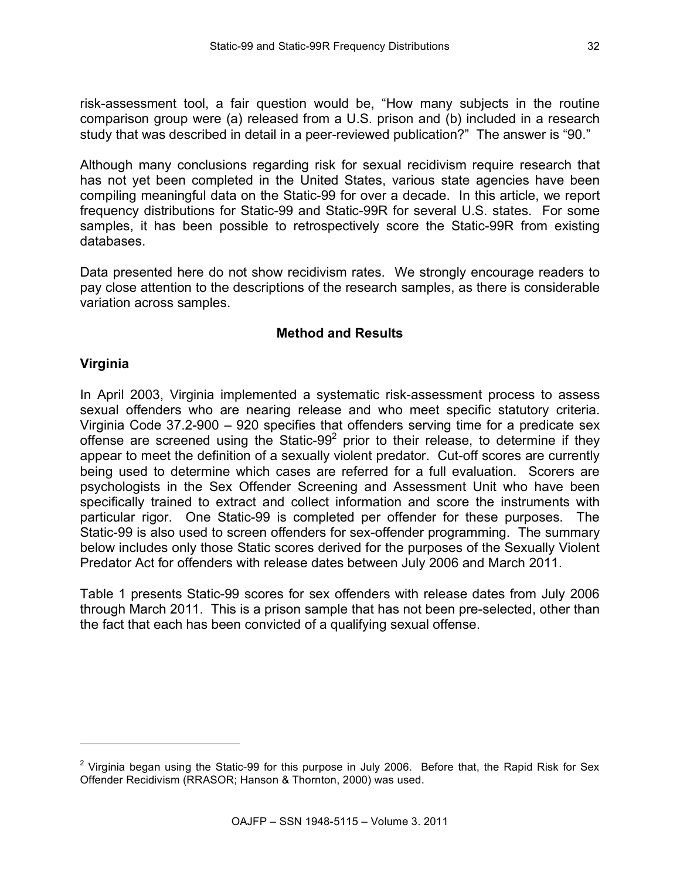risk-assessment tool, a fair question would be, "How many subjects in the routine comparison group were (a) released from a U.S. prison and (b) included in a research study that was described in detail in a peer-reviewed publication?" The answer is "90."

Although many conclusions regarding risk for sexual recidivism require research that has not yet been completed in the United States, various state agencies have been compiling meaningful data on the Static-99 for over a decade. In this article, we report frequency distributions for Static-99 and Static-99R for several U.S. states. For some samples, it has been possible to retrospectively score the Static-99R from existing databases.

Data presented here do not show recidivism rates. We strongly encourage readers to pay close attention to the descriptions of the research samples, as there is considerable variation across samples.

#### **Method and Results**

#### **Virginia**

l

In April 2003, Virginia implemented a systematic risk-assessment process to assess sexual offenders who are nearing release and who meet specific statutory criteria. Virginia Code 37.2-900 – 920 specifies that offenders serving time for a predicate sex offense are screened using the Static-99 $2$  prior to their release, to determine if they appear to meet the definition of a sexually violent predator. Cut-off scores are currently being used to determine which cases are referred for a full evaluation. Scorers are psychologists in the Sex Offender Screening and Assessment Unit who have been specifically trained to extract and collect information and score the instruments with particular rigor. One Static-99 is completed per offender for these purposes. The Static-99 is also used to screen offenders for sex-offender programming. The summary below includes only those Static scores derived for the purposes of the Sexually Violent Predator Act for offenders with release dates between July 2006 and March 2011.

Table 1 presents Static-99 scores for sex offenders with release dates from July 2006 through March 2011. This is a prison sample that has not been pre-selected, other than the fact that each has been convicted of a qualifying sexual offense.

<sup>&</sup>lt;sup>2</sup> Virginia began using the Static-99 for this purpose in July 2006. Before that, the Rapid Risk for Sex Offender Recidivism (RRASOR; Hanson & Thornton, 2000) was used.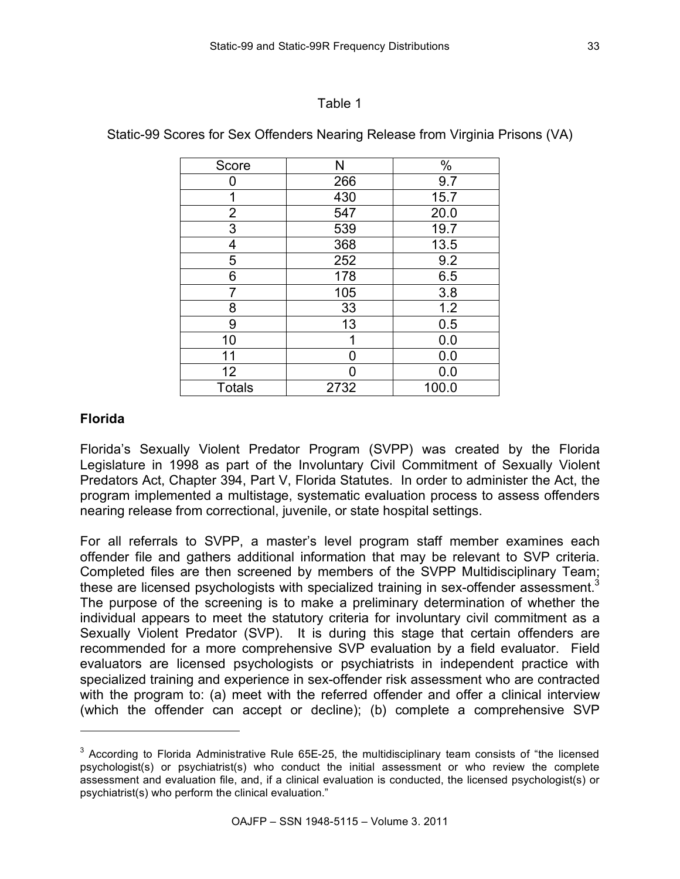#### Table 1

| Score          | N    | $\%$  |
|----------------|------|-------|
| ი              | 266  | 9.7   |
| 1              | 430  | 15.7  |
| $\overline{2}$ | 547  | 20.0  |
| 3              | 539  | 19.7  |
| 4              | 368  | 13.5  |
| 5              | 252  | 9.2   |
| 6              | 178  | 6.5   |
| 7              | 105  | 3.8   |
| 8              | 33   | 1.2   |
| 9              | 13   | 0.5   |
| 10             | 1    | 0.0   |
| 11             | ŋ    | 0.0   |
| 12             | ∩    | 0.0   |
| <b>Totals</b>  | 2732 | 100.0 |

Static-99 Scores for Sex Offenders Nearing Release from Virginia Prisons (VA)

# **Florida**

l

Florida's Sexually Violent Predator Program (SVPP) was created by the Florida Legislature in 1998 as part of the Involuntary Civil Commitment of Sexually Violent Predators Act, Chapter 394, Part V, Florida Statutes. In order to administer the Act, the program implemented a multistage, systematic evaluation process to assess offenders nearing release from correctional, juvenile, or state hospital settings.

For all referrals to SVPP, a master's level program staff member examines each offender file and gathers additional information that may be relevant to SVP criteria. Completed files are then screened by members of the SVPP Multidisciplinary Team; these are licensed psychologists with specialized training in sex-offender assessment.<sup>3</sup> The purpose of the screening is to make a preliminary determination of whether the individual appears to meet the statutory criteria for involuntary civil commitment as a Sexually Violent Predator (SVP). It is during this stage that certain offenders are recommended for a more comprehensive SVP evaluation by a field evaluator. Field evaluators are licensed psychologists or psychiatrists in independent practice with specialized training and experience in sex-offender risk assessment who are contracted with the program to: (a) meet with the referred offender and offer a clinical interview (which the offender can accept or decline); (b) complete a comprehensive SVP

 $3$  According to Florida Administrative Rule 65E-25, the multidisciplinary team consists of "the licensed psychologist(s) or psychiatrist(s) who conduct the initial assessment or who review the complete assessment and evaluation file, and, if a clinical evaluation is conducted, the licensed psychologist(s) or psychiatrist(s) who perform the clinical evaluation."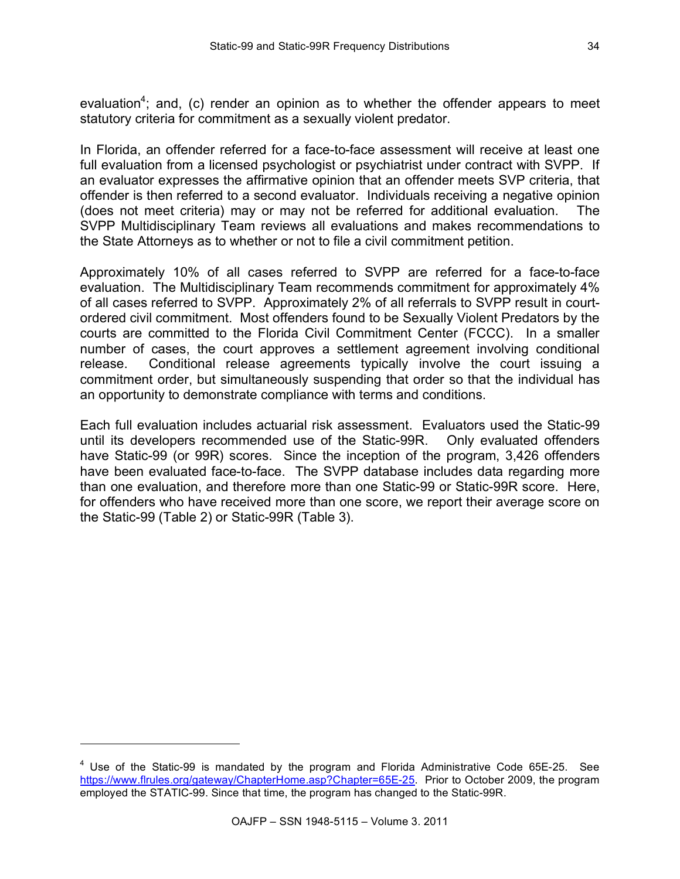evaluation<sup>4</sup>; and, (c) render an opinion as to whether the offender appears to meet statutory criteria for commitment as a sexually violent predator.

In Florida, an offender referred for a face-to-face assessment will receive at least one full evaluation from a licensed psychologist or psychiatrist under contract with SVPP. If an evaluator expresses the affirmative opinion that an offender meets SVP criteria, that offender is then referred to a second evaluator. Individuals receiving a negative opinion (does not meet criteria) may or may not be referred for additional evaluation. The SVPP Multidisciplinary Team reviews all evaluations and makes recommendations to the State Attorneys as to whether or not to file a civil commitment petition.

Approximately 10% of all cases referred to SVPP are referred for a face-to-face evaluation. The Multidisciplinary Team recommends commitment for approximately 4% of all cases referred to SVPP. Approximately 2% of all referrals to SVPP result in courtordered civil commitment. Most offenders found to be Sexually Violent Predators by the courts are committed to the Florida Civil Commitment Center (FCCC). In a smaller number of cases, the court approves a settlement agreement involving conditional release. Conditional release agreements typically involve the court issuing a commitment order, but simultaneously suspending that order so that the individual has an opportunity to demonstrate compliance with terms and conditions.

Each full evaluation includes actuarial risk assessment. Evaluators used the Static-99 until its developers recommended use of the Static-99R. Only evaluated offenders have Static-99 (or 99R) scores. Since the inception of the program, 3,426 offenders have been evaluated face-to-face. The SVPP database includes data regarding more than one evaluation, and therefore more than one Static-99 or Static-99R score. Here, for offenders who have received more than one score, we report their average score on the Static-99 (Table 2) or Static-99R (Table 3).

l

 $4$  Use of the Static-99 is mandated by the program and Florida Administrative Code 65E-25. See https://www.flrules.org/gateway/ChapterHome.asp?Chapter=65E-25. Prior to October 2009, the program employed the STATIC-99. Since that time, the program has changed to the Static-99R.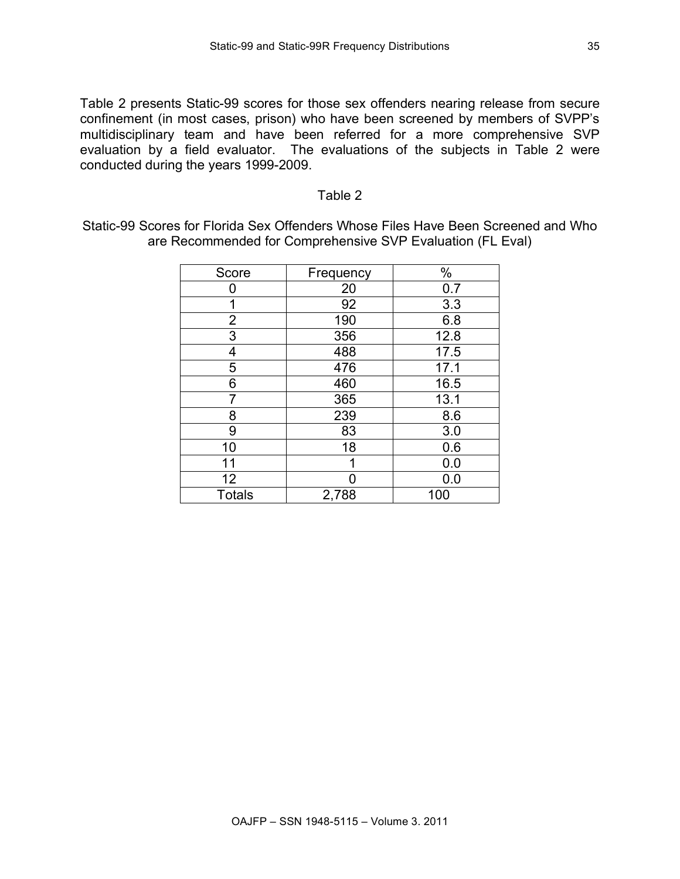Table 2 presents Static-99 scores for those sex offenders nearing release from secure confinement (in most cases, prison) who have been screened by members of SVPP's multidisciplinary team and have been referred for a more comprehensive SVP evaluation by a field evaluator. The evaluations of the subjects in Table 2 were conducted during the years 1999-2009.

#### Table 2

Static-99 Scores for Florida Sex Offenders Whose Files Have Been Screened and Who are Recommended for Comprehensive SVP Evaluation (FL Eval)

| Score          | Frequency | %    |
|----------------|-----------|------|
| ი              | 20        | 0.7  |
| 1              | 92        | 3.3  |
| $\overline{2}$ | 190       | 6.8  |
| 3              | 356       | 12.8 |
| 4              | 488       | 17.5 |
| 5              | 476       | 17.1 |
| 6              | 460       | 16.5 |
| 7              | 365       | 13.1 |
| 8              | 239       | 8.6  |
| 9              | 83        | 3.0  |
| 10             | 18        | 0.6  |
| 11             | 1         | 0.0  |
| 12             | 0         | 0.0  |
| <b>Totals</b>  | 2,788     | 100  |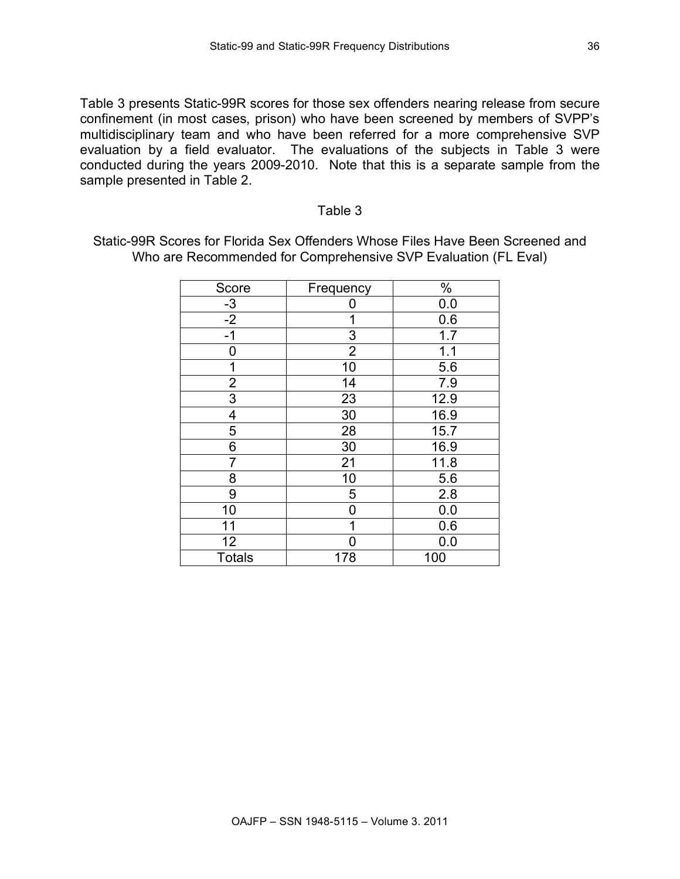Table 3 presents Static-99R scores for those sex offenders nearing release from secure confinement (in most cases, prison) who have been screened by members of SVPP's multidisciplinary team and who have been referred for a more comprehensive SVP evaluation by a field evaluator. The evaluations of the subjects in Table 3 were conducted during the years 2009-2010. Note that this is a separate sample from the sample presented in Table 2.

#### Table 3

Static-99R Scores for Florida Sex Offenders Whose Files Have Been Screened and Who are Recommended for Comprehensive SVP Evaluation (FL Eval)

| Score                   | Frequency      | $\%$ |
|-------------------------|----------------|------|
|                         | Ω              | 0.0  |
| $\frac{-3}{-2}$         | 1              | 0.6  |
| $-1$                    | 3              | 1.7  |
| 0                       | $\overline{2}$ | 1.1  |
| 1                       | 10             | 5.6  |
| $\overline{\mathbf{c}}$ | 14             | 7.9  |
| $\overline{3}$          | 23             | 12.9 |
| 4                       | 30             | 16.9 |
| 5                       | 28             | 15.7 |
| 6                       | 30             | 16.9 |
| 7                       | 21             | 11.8 |
| 8                       | 10             | 5.6  |
| 9                       | 5              | 2.8  |
| 10                      | 0              | 0.0  |
| 11                      | 1              | 0.6  |
| 12                      | ∩              | 0.0  |
| <b>Totals</b>           | 178            | 100  |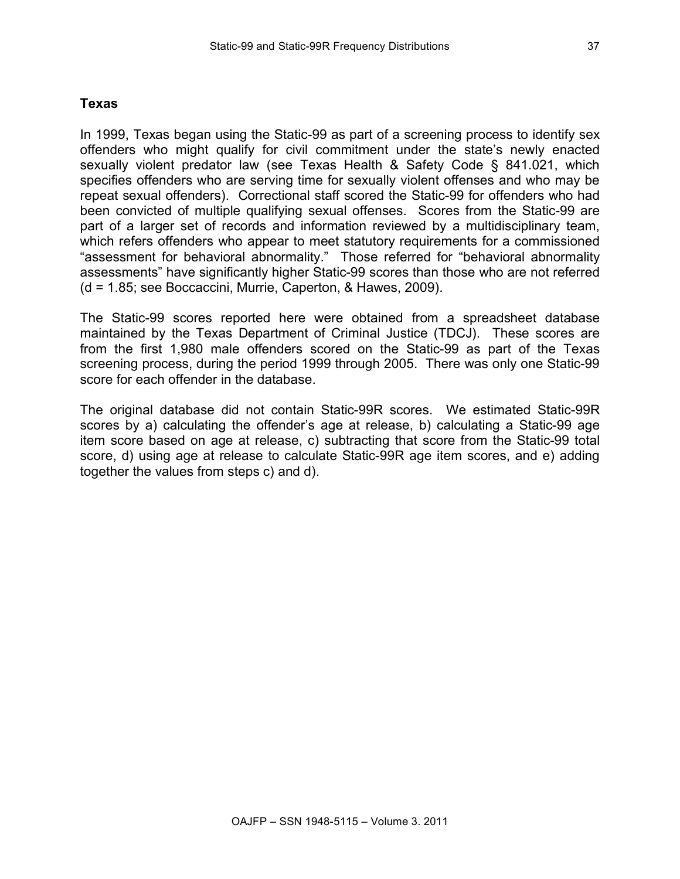# **Texas**

In 1999, Texas began using the Static-99 as part of a screening process to identify sex offenders who might qualify for civil commitment under the state's newly enacted sexually violent predator law (see Texas Health & Safety Code § 841.021, which specifies offenders who are serving time for sexually violent offenses and who may be repeat sexual offenders). Correctional staff scored the Static-99 for offenders who had been convicted of multiple qualifying sexual offenses. Scores from the Static-99 are part of a larger set of records and information reviewed by a multidisciplinary team, which refers offenders who appear to meet statutory requirements for a commissioned "assessment for behavioral abnormality." Those referred for "behavioral abnormality assessments" have significantly higher Static-99 scores than those who are not referred (d = 1.85; see Boccaccini, Murrie, Caperton, & Hawes, 2009).

The Static-99 scores reported here were obtained from a spreadsheet database maintained by the Texas Department of Criminal Justice (TDCJ). These scores are from the first 1,980 male offenders scored on the Static-99 as part of the Texas screening process, during the period 1999 through 2005. There was only one Static-99 score for each offender in the database.

The original database did not contain Static-99R scores. We estimated Static-99R scores by a) calculating the offender's age at release, b) calculating a Static-99 age item score based on age at release, c) subtracting that score from the Static-99 total score, d) using age at release to calculate Static-99R age item scores, and e) adding together the values from steps c) and d).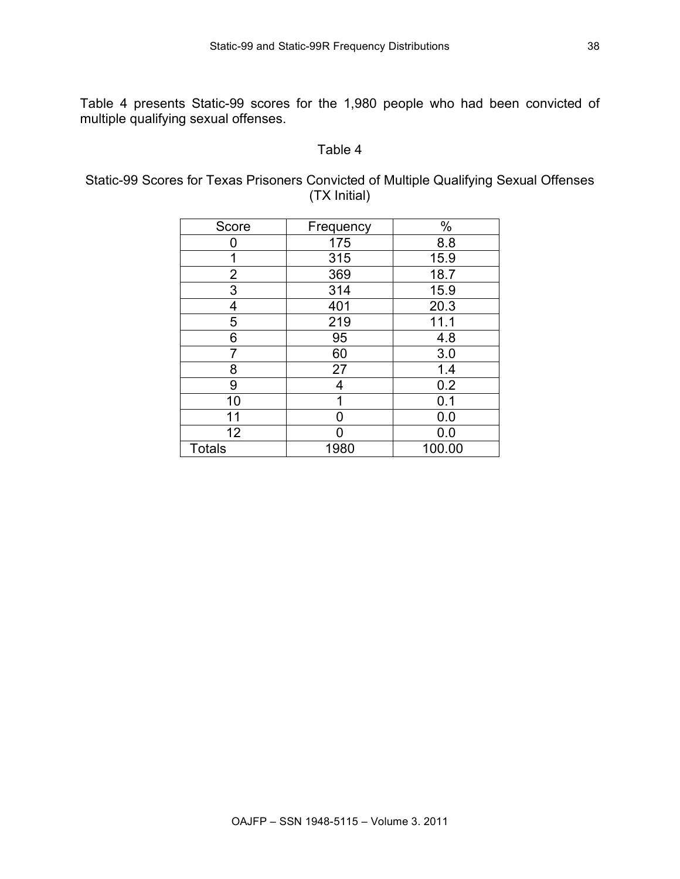Table 4 presents Static-99 scores for the 1,980 people who had been convicted of multiple qualifying sexual offenses.

#### Table 4

Static-99 Scores for Texas Prisoners Convicted of Multiple Qualifying Sexual Offenses (TX Initial)

| Score                   | Frequency | $\%$   |
|-------------------------|-----------|--------|
| Ω                       | 175       | 8.8    |
| 1                       | 315       | 15.9   |
| $\overline{\mathbf{c}}$ | 369       | 18.7   |
| 3                       | 314       | 15.9   |
| 4                       | 401       | 20.3   |
| 5                       | 219       | 11.1   |
| 6                       | 95        | 4.8    |
| 7                       | 60        | 3.0    |
| 8                       | 27        | 1.4    |
| 9                       | 4         | 0.2    |
| 10                      |           | 0.1    |
| 11                      | U         | 0.0    |
| 12                      |           | 0.0    |
| <b>Totals</b>           | 1980      | 100.00 |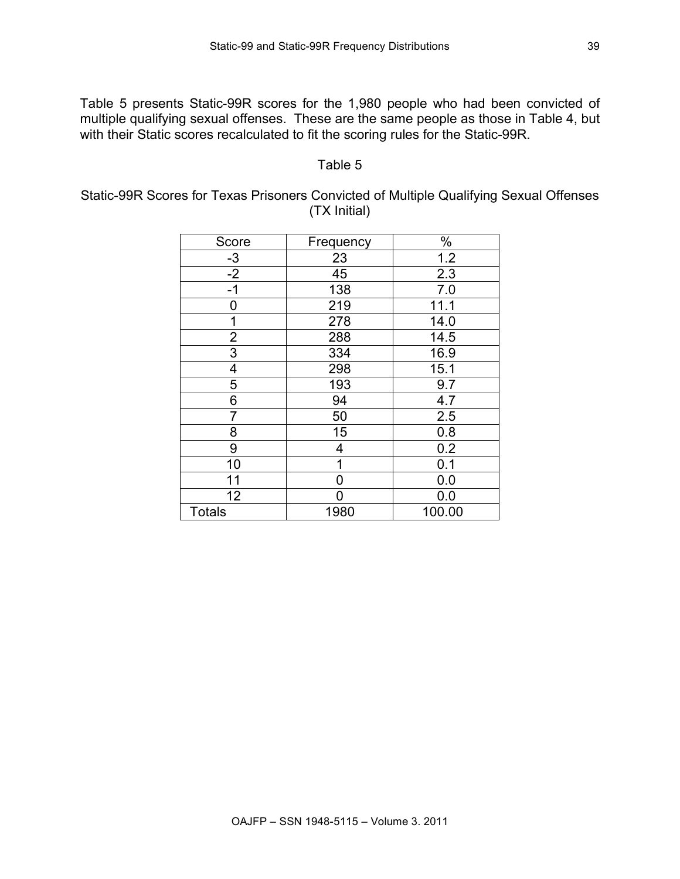Table 5 presents Static-99R scores for the 1,980 people who had been convicted of multiple qualifying sexual offenses. These are the same people as those in Table 4, but with their Static scores recalculated to fit the scoring rules for the Static-99R.

#### Table 5

#### Static-99R Scores for Texas Prisoners Convicted of Multiple Qualifying Sexual Offenses (TX Initial)

| Score          | Frequency | $\%$   |
|----------------|-----------|--------|
| $-3$           | 23        | 1.2    |
| $-2$           | 45        | 2.3    |
| $-1$           | 138       | 7.0    |
| 0              | 219       | 11.1   |
| 1              | 278       | 14.0   |
| $\overline{2}$ | 288       | 14.5   |
| $\overline{3}$ | 334       | 16.9   |
| 4              | 298       | 15.1   |
| 5              | 193       | 9.7    |
| 6              | 94        | 4.7    |
| 7              | 50        | 2.5    |
| 8              | 15        | 0.8    |
| 9              | 4         | 0.2    |
| 10             | 1         | 0.1    |
| 11             | ი         | 0.0    |
| 12             |           | 0.0    |
| <b>Totals</b>  | 1980      | 100.00 |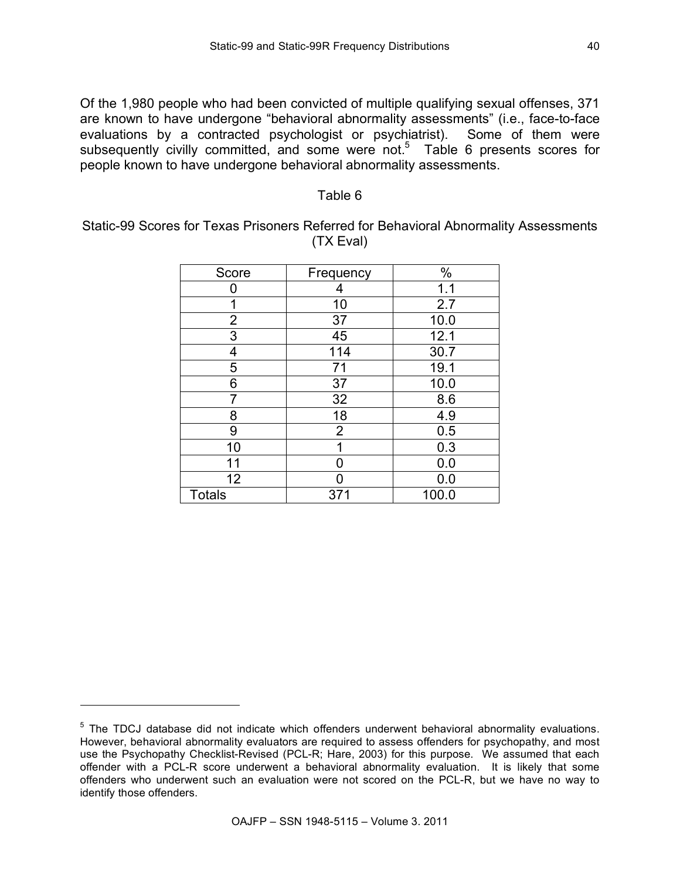Of the 1,980 people who had been convicted of multiple qualifying sexual offenses, 371 are known to have undergone "behavioral abnormality assessments" (i.e., face-to-face evaluations by a contracted psychologist or psychiatrist). Some of them were subsequently civilly committed, and some were not.<sup>5</sup> Table 6 presents scores for people known to have undergone behavioral abnormality assessments.

#### Table 6

Static-99 Scores for Texas Prisoners Referred for Behavioral Abnormality Assessments (TX Eval)

| Score           | Frequency      | $\%$  |
|-----------------|----------------|-------|
| ŋ               | 4              | 1.1   |
| 1               | 10             | 2.7   |
| $\overline{2}$  | 37             | 10.0  |
| $\overline{3}$  | 45             | 12.1  |
| 4               | 114            | 30.7  |
| 5               | 71             | 19.1  |
| 6               | 37             | 10.0  |
| 7               | 32             | 8.6   |
| 8               | 18             | 4.9   |
| 9               | $\overline{2}$ | 0.5   |
| 10              |                | 0.3   |
| 11              |                | 0.0   |
| 12 <sub>2</sub> |                | 0.0   |
| <b>Totals</b>   | 371            | 100.0 |

l

<sup>&</sup>lt;sup>5</sup> The TDCJ database did not indicate which offenders underwent behavioral abnormality evaluations. However, behavioral abnormality evaluators are required to assess offenders for psychopathy, and most use the Psychopathy Checklist-Revised (PCL-R; Hare, 2003) for this purpose. We assumed that each offender with a PCL-R score underwent a behavioral abnormality evaluation. It is likely that some offenders who underwent such an evaluation were not scored on the PCL-R, but we have no way to identify those offenders.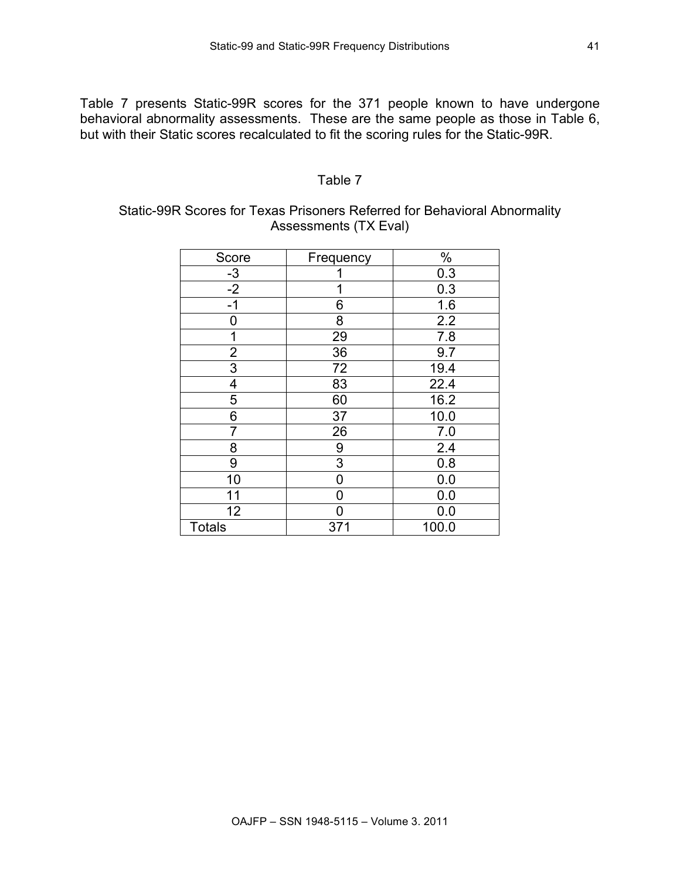Table 7 presents Static-99R scores for the 371 people known to have undergone behavioral abnormality assessments. These are the same people as those in Table 6, but with their Static scores recalculated to fit the scoring rules for the Static-99R.

#### Table 7

# Static-99R Scores for Texas Prisoners Referred for Behavioral Abnormality Assessments (TX Eval)

| Score                   | Frequency | $\%$  |
|-------------------------|-----------|-------|
| $-3$                    |           | 0.3   |
| $-2$                    | 1         | 0.3   |
| $-1$                    | 6         | 1.6   |
| 0                       | 8         | 2.2   |
| 1                       | 29        | 7.8   |
| $\overline{\mathbf{c}}$ | 36        | 9.7   |
| $\overline{3}$          | 72        | 19.4  |
| 4                       | 83        | 22.4  |
| 5                       | 60        | 16.2  |
| 6                       | 37        | 10.0  |
| 7                       | 26        | 7.0   |
| 8                       | 9         | 2.4   |
| 9                       | 3         | 0.8   |
| 10                      | 0         | 0.0   |
| 11                      | O         | 0.0   |
| 12                      | በ         | 0.0   |
| <b>Totals</b>           | 371       | 100.0 |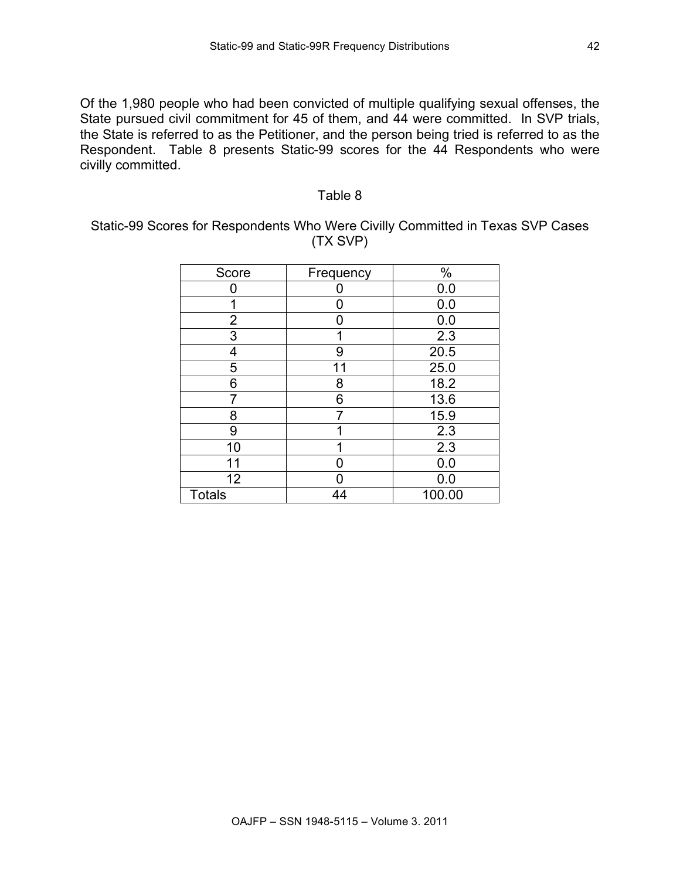Of the 1,980 people who had been convicted of multiple qualifying sexual offenses, the State pursued civil commitment for 45 of them, and 44 were committed. In SVP trials, the State is referred to as the Petitioner, and the person being tried is referred to as the Respondent. Table 8 presents Static-99 scores for the 44 Respondents who were civilly committed.

#### Table 8

Static-99 Scores for Respondents Who Were Civilly Committed in Texas SVP Cases (TX SVP)

| Score           | Frequency | $\%$   |
|-----------------|-----------|--------|
| ი               |           | 0.0    |
| 1               |           | 0.0    |
| $\overline{2}$  | N         | 0.0    |
| 3               |           | 2.3    |
| 4               | 9         | 20.5   |
| 5               | 11        | 25.0   |
| 6               | 8         | 18.2   |
| 7               | 6         | 13.6   |
| 8               |           | 15.9   |
| 9               |           | 2.3    |
| 10              |           | 2.3    |
| 11              |           | 0.0    |
| 12 <sub>2</sub> |           | 0.0    |
| <b>Totals</b>   | 44        | 100.00 |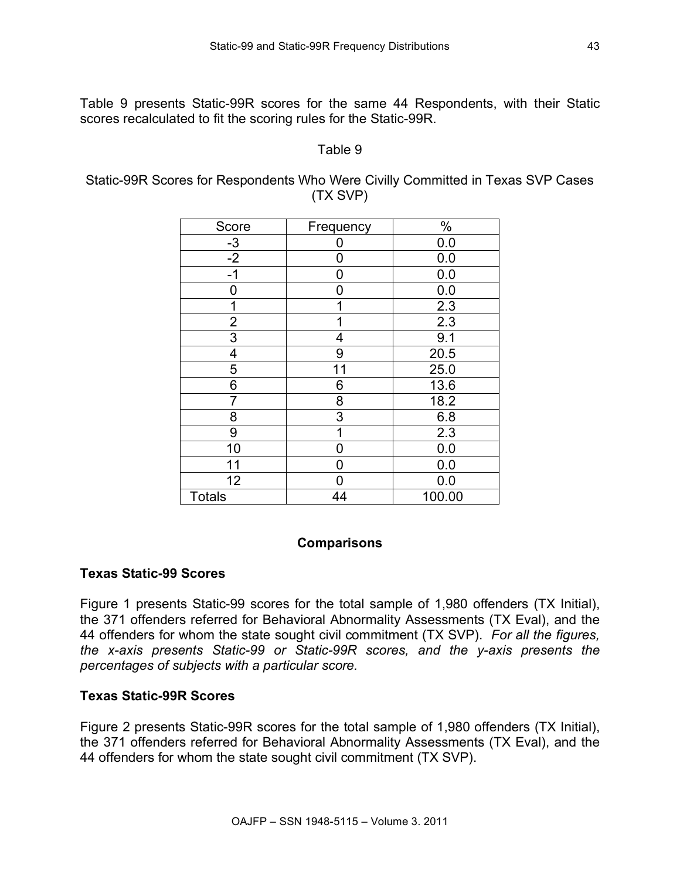Table 9 presents Static-99R scores for the same 44 Respondents, with their Static scores recalculated to fit the scoring rules for the Static-99R.

#### Table 9

Static-99R Scores for Respondents Who Were Civilly Committed in Texas SVP Cases (TX SVP)

| Score          | Frequency | $\%$   |
|----------------|-----------|--------|
| $-3$           |           | 0.0    |
| $-2$           | 0         | 0.0    |
| $-1$           | ი         | 0.0    |
| ი              | N         | 0.0    |
|                |           | 2.3    |
| $\overline{2}$ |           | 2.3    |
| 3              | 4         | 9.1    |
| 4              | 9         | 20.5   |
| 5              | 11        | 25.0   |
| 6              | 6         | 13.6   |
| $\overline{7}$ | 8         | 18.2   |
| 8              | 3         | 6.8    |
| 9              | 1         | 2.3    |
| 10             | 0         | 0.0    |
| 11             | 0         | 0.0    |
| 12             |           | 0.0    |
| <b>Totals</b>  | 44        | 100.00 |

# **Comparisons**

# **Texas Static-99 Scores**

Figure 1 presents Static-99 scores for the total sample of 1,980 offenders (TX Initial), the 371 offenders referred for Behavioral Abnormality Assessments (TX Eval), and the 44 offenders for whom the state sought civil commitment (TX SVP). *For all the figures, the x-axis presents Static-99 or Static-99R scores, and the y-axis presents the percentages of subjects with a particular score.*

# **Texas Static-99R Scores**

Figure 2 presents Static-99R scores for the total sample of 1,980 offenders (TX Initial), the 371 offenders referred for Behavioral Abnormality Assessments (TX Eval), and the 44 offenders for whom the state sought civil commitment (TX SVP).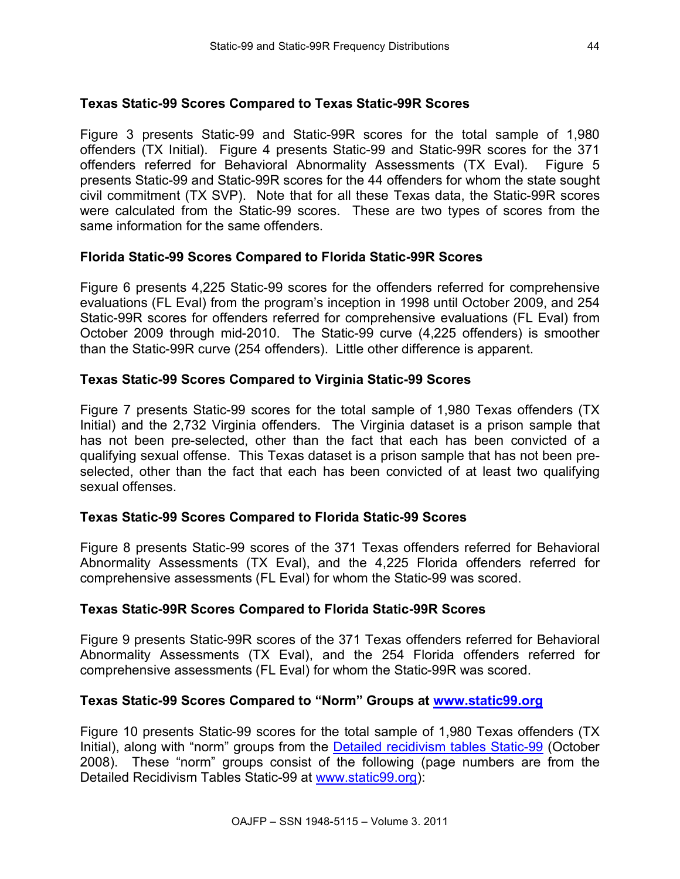# **Texas Static-99 Scores Compared to Texas Static-99R Scores**

Figure 3 presents Static-99 and Static-99R scores for the total sample of 1,980 offenders (TX Initial). Figure 4 presents Static-99 and Static-99R scores for the 371 offenders referred for Behavioral Abnormality Assessments (TX Eval). Figure 5 presents Static-99 and Static-99R scores for the 44 offenders for whom the state sought civil commitment (TX SVP). Note that for all these Texas data, the Static-99R scores were calculated from the Static-99 scores. These are two types of scores from the same information for the same offenders.

# **Florida Static-99 Scores Compared to Florida Static-99R Scores**

Figure 6 presents 4,225 Static-99 scores for the offenders referred for comprehensive evaluations (FL Eval) from the program's inception in 1998 until October 2009, and 254 Static-99R scores for offenders referred for comprehensive evaluations (FL Eval) from October 2009 through mid-2010. The Static-99 curve (4,225 offenders) is smoother than the Static-99R curve (254 offenders). Little other difference is apparent.

# **Texas Static-99 Scores Compared to Virginia Static-99 Scores**

Figure 7 presents Static-99 scores for the total sample of 1,980 Texas offenders (TX Initial) and the 2,732 Virginia offenders. The Virginia dataset is a prison sample that has not been pre-selected, other than the fact that each has been convicted of a qualifying sexual offense. This Texas dataset is a prison sample that has not been preselected, other than the fact that each has been convicted of at least two qualifying sexual offenses.

# **Texas Static-99 Scores Compared to Florida Static-99 Scores**

Figure 8 presents Static-99 scores of the 371 Texas offenders referred for Behavioral Abnormality Assessments (TX Eval), and the 4,225 Florida offenders referred for comprehensive assessments (FL Eval) for whom the Static-99 was scored.

# **Texas Static-99R Scores Compared to Florida Static-99R Scores**

Figure 9 presents Static-99R scores of the 371 Texas offenders referred for Behavioral Abnormality Assessments (TX Eval), and the 254 Florida offenders referred for comprehensive assessments (FL Eval) for whom the Static-99R was scored.

#### **Texas Static-99 Scores Compared to "Norm" Groups at www.static99.org**

Figure 10 presents Static-99 scores for the total sample of 1,980 Texas offenders (TX Initial), along with "norm" groups from the Detailed recidivism tables Static-99 (October 2008). These "norm" groups consist of the following (page numbers are from the Detailed Recidivism Tables Static-99 at www.static99.org):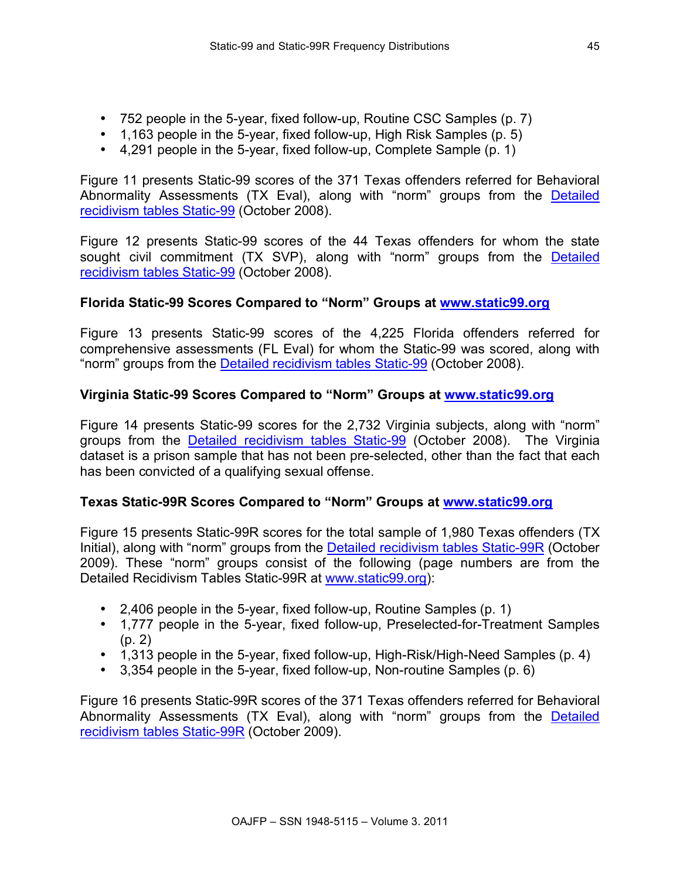- 752 people in the 5-year, fixed follow-up, Routine CSC Samples (p. 7)
- 1,163 people in the 5-year, fixed follow-up, High Risk Samples (p. 5)
- $\bullet$  4,291 people in the 5-year, fixed follow-up, Complete Sample  $(p, 1)$

Figure 11 presents Static-99 scores of the 371 Texas offenders referred for Behavioral Abnormality Assessments (TX Eval), along with "norm" groups from the Detailed recidivism tables Static-99 (October 2008).

Figure 12 presents Static-99 scores of the 44 Texas offenders for whom the state sought civil commitment (TX SVP), along with "norm" groups from the Detailed recidivism tables Static-99 (October 2008).

# **Florida Static-99 Scores Compared to "Norm" Groups at www.static99.org**

Figure 13 presents Static-99 scores of the 4,225 Florida offenders referred for comprehensive assessments (FL Eval) for whom the Static-99 was scored, along with "norm" groups from the Detailed recidivism tables Static-99 (October 2008).

# **Virginia Static-99 Scores Compared to "Norm" Groups at www.static99.org**

Figure 14 presents Static-99 scores for the 2,732 Virginia subjects, along with "norm" groups from the Detailed recidivism tables Static-99 (October 2008). The Virginia dataset is a prison sample that has not been pre-selected, other than the fact that each has been convicted of a qualifying sexual offense.

# **Texas Static-99R Scores Compared to "Norm" Groups at www.static99.org**

Figure 15 presents Static-99R scores for the total sample of 1,980 Texas offenders (TX Initial), along with "norm" groups from the Detailed recidivism tables Static-99R (October 2009). These "norm" groups consist of the following (page numbers are from the Detailed Recidivism Tables Static-99R at www.static99.org):

- 2,406 people in the 5-year, fixed follow-up, Routine Samples (p. 1)
- 1,777 people in the 5-year, fixed follow-up, Preselected-for-Treatment Samples (p. 2)
- 1,313 people in the 5-year, fixed follow-up, High-Risk/High-Need Samples (p. 4)
- 3,354 people in the 5-year, fixed follow-up, Non-routine Samples (p. 6)

Figure 16 presents Static-99R scores of the 371 Texas offenders referred for Behavioral Abnormality Assessments (TX Eval), along with "norm" groups from the Detailed recidivism tables Static-99R (October 2009).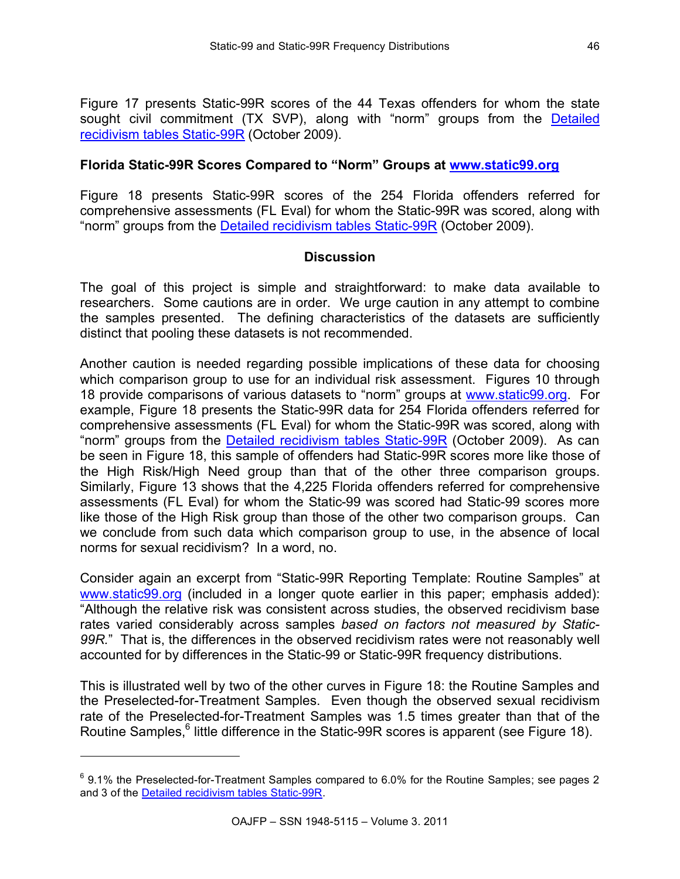Figure 17 presents Static-99R scores of the 44 Texas offenders for whom the state sought civil commitment (TX SVP), along with "norm" groups from the Detailed recidivism tables Static-99R (October 2009).

#### **Florida Static-99R Scores Compared to "Norm" Groups at www.static99.org**

Figure 18 presents Static-99R scores of the 254 Florida offenders referred for comprehensive assessments (FL Eval) for whom the Static-99R was scored, along with "norm" groups from the Detailed recidivism tables Static-99R (October 2009).

#### **Discussion**

The goal of this project is simple and straightforward: to make data available to researchers. Some cautions are in order. We urge caution in any attempt to combine the samples presented. The defining characteristics of the datasets are sufficiently distinct that pooling these datasets is not recommended.

Another caution is needed regarding possible implications of these data for choosing which comparison group to use for an individual risk assessment. Figures 10 through 18 provide comparisons of various datasets to "norm" groups at www.static99.org. For example, Figure 18 presents the Static-99R data for 254 Florida offenders referred for comprehensive assessments (FL Eval) for whom the Static-99R was scored, along with "norm" groups from the Detailed recidivism tables Static-99R (October 2009). As can be seen in Figure 18, this sample of offenders had Static-99R scores more like those of the High Risk/High Need group than that of the other three comparison groups. Similarly, Figure 13 shows that the 4,225 Florida offenders referred for comprehensive assessments (FL Eval) for whom the Static-99 was scored had Static-99 scores more like those of the High Risk group than those of the other two comparison groups. Can we conclude from such data which comparison group to use, in the absence of local norms for sexual recidivism? In a word, no.

Consider again an excerpt from "Static-99R Reporting Template: Routine Samples" at www.static99.org (included in a longer quote earlier in this paper; emphasis added): "Although the relative risk was consistent across studies, the observed recidivism base rates varied considerably across samples *based on factors not measured by Static-99R.*" That is, the differences in the observed recidivism rates were not reasonably well accounted for by differences in the Static-99 or Static-99R frequency distributions.

This is illustrated well by two of the other curves in Figure 18: the Routine Samples and the Preselected-for-Treatment Samples. Even though the observed sexual recidivism rate of the Preselected-for-Treatment Samples was 1.5 times greater than that of the Routine Samples,<sup>6</sup> little difference in the Static-99R scores is apparent (see Figure 18).

 $\overline{a}$ 

 $^6$  9.1% the Preselected-for-Treatment Samples compared to 6.0% for the Routine Samples; see pages 2 and 3 of the Detailed recidivism tables Static-99R.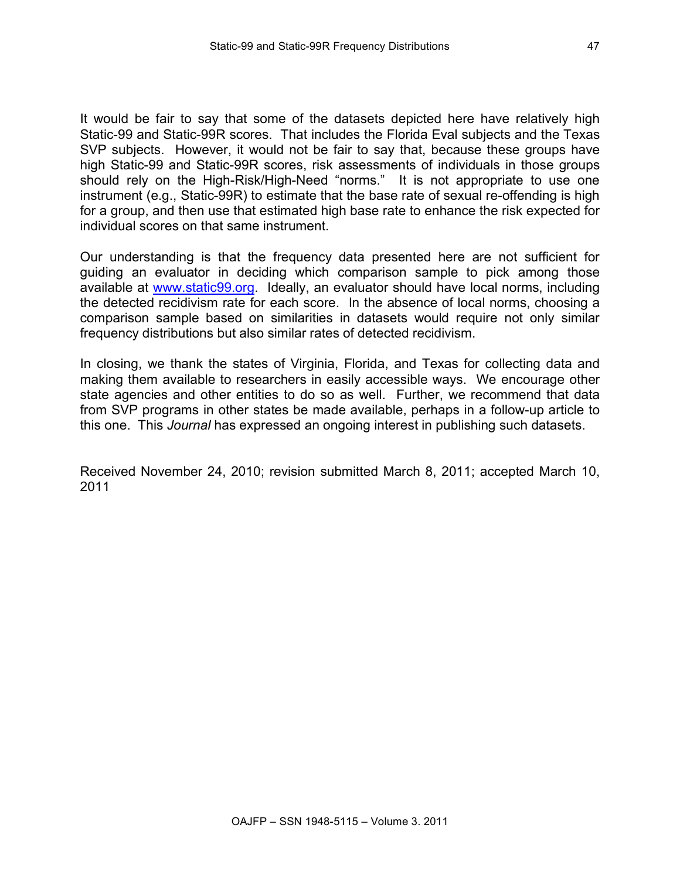It would be fair to say that some of the datasets depicted here have relatively high Static-99 and Static-99R scores. That includes the Florida Eval subjects and the Texas SVP subjects. However, it would not be fair to say that, because these groups have high Static-99 and Static-99R scores, risk assessments of individuals in those groups should rely on the High-Risk/High-Need "norms." It is not appropriate to use one instrument (e.g., Static-99R) to estimate that the base rate of sexual re-offending is high for a group, and then use that estimated high base rate to enhance the risk expected for individual scores on that same instrument.

Our understanding is that the frequency data presented here are not sufficient for guiding an evaluator in deciding which comparison sample to pick among those available at www.static99.org. Ideally, an evaluator should have local norms, including the detected recidivism rate for each score. In the absence of local norms, choosing a comparison sample based on similarities in datasets would require not only similar frequency distributions but also similar rates of detected recidivism.

In closing, we thank the states of Virginia, Florida, and Texas for collecting data and making them available to researchers in easily accessible ways. We encourage other state agencies and other entities to do so as well. Further, we recommend that data from SVP programs in other states be made available, perhaps in a follow-up article to this one. This *Journal* has expressed an ongoing interest in publishing such datasets.

Received November 24, 2010; revision submitted March 8, 2011; accepted March 10, 2011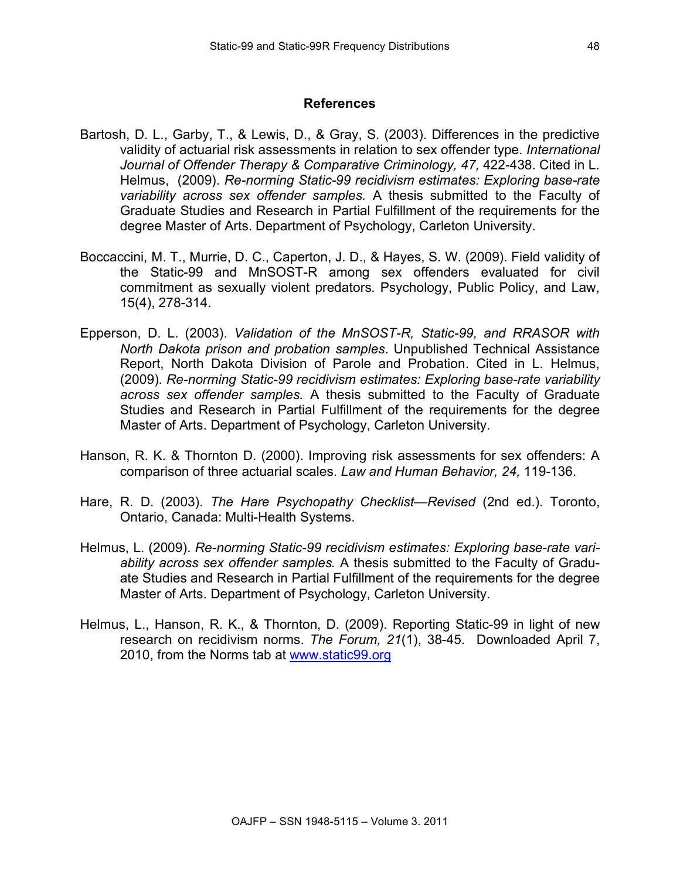#### **References**

- Bartosh, D. L., Garby, T., & Lewis, D., & Gray, S. (2003). Differences in the predictive validity of actuarial risk assessments in relation to sex offender type. *International Journal of Offender Therapy & Comparative Criminology, 47,* 422-438. Cited in L. Helmus, (2009). *Re-norming Static-99 recidivism estimates: Exploring base-rate variability across sex offender samples.* A thesis submitted to the Faculty of Graduate Studies and Research in Partial Fulfillment of the requirements for the degree Master of Arts. Department of Psychology, Carleton University.
- Boccaccini, M. T., Murrie, D. C., Caperton, J. D., & Hayes, S. W. (2009). Field validity of the Static-99 and MnSOST-R among sex offenders evaluated for civil commitment as sexually violent predators. Psychology, Public Policy, and Law, 15(4), 278-314.
- Epperson, D. L. (2003). *Validation of the MnSOST-R, Static-99, and RRASOR with North Dakota prison and probation samples*. Unpublished Technical Assistance Report, North Dakota Division of Parole and Probation. Cited in L. Helmus, (2009). *Re-norming Static-99 recidivism estimates: Exploring base-rate variability across sex offender samples.* A thesis submitted to the Faculty of Graduate Studies and Research in Partial Fulfillment of the requirements for the degree Master of Arts. Department of Psychology, Carleton University.
- Hanson, R. K. & Thornton D. (2000). Improving risk assessments for sex offenders: A comparison of three actuarial scales. *Law and Human Behavior, 24,* 119-136.
- Hare, R. D. (2003). *The Hare Psychopathy Checklist—Revised* (2nd ed.). Toronto, Ontario, Canada: Multi-Health Systems.
- Helmus, L. (2009). *Re-norming Static-99 recidivism estimates: Exploring base-rate variability across sex offender samples.* A thesis submitted to the Faculty of Graduate Studies and Research in Partial Fulfillment of the requirements for the degree Master of Arts. Department of Psychology, Carleton University.
- Helmus, L., Hanson, R. K., & Thornton, D. (2009). Reporting Static-99 in light of new research on recidivism norms. *The Forum, 21*(1), 38-45. Downloaded April 7, 2010, from the Norms tab at www.static99.org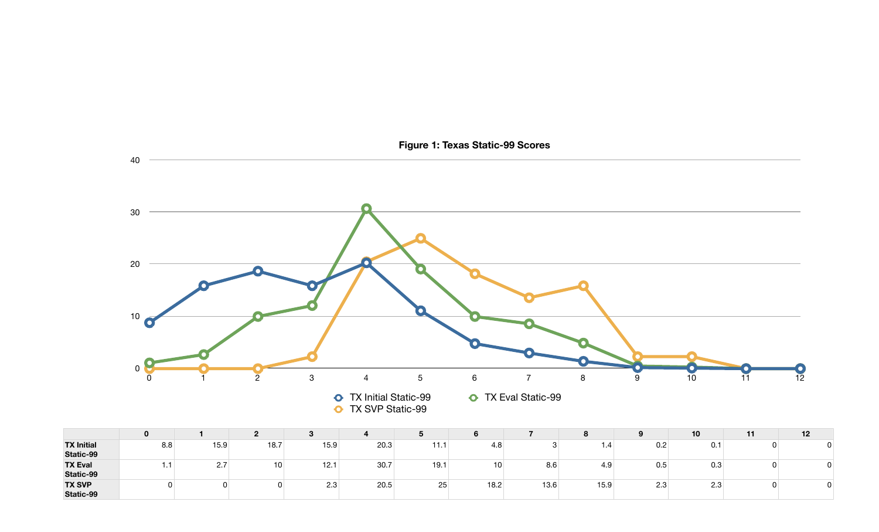|                                |          |                   |      | <b>ت</b> |      |                  |      |      | o    | 9   | 10              | - 44 | 12 |
|--------------------------------|----------|-------------------|------|----------|------|------------------|------|------|------|-----|-----------------|------|----|
| <b>TX Initial</b><br>Static-99 | 8.8      | 15.9 <sub>1</sub> | 18.7 | 15.9     | 20.3 | <b>HH</b> H<br>. | 4.8  |      | 1.4  | 0.2 | 0.1             |      |    |
| <b>TX Eval</b><br>Static-99    | . .<br>. | 2.7               | 10   | 12.      | 30.7 | 19.1             | 10   | 8.6  | 4.9  | 0.5 | 0.3             |      |    |
| <b>TX SVP</b><br>Static-99     |          |                   |      | 2.3      | 20.5 | 25               | 18.2 | 13.6 | 15.9 | 2.3 | $\Omega$<br>د.∠ |      |    |

| 10  | 11 | 12 |
|-----|----|----|
| 0.1 | 0  |    |
| 0.3 | 0  |    |
| 2.3 | 0  |    |

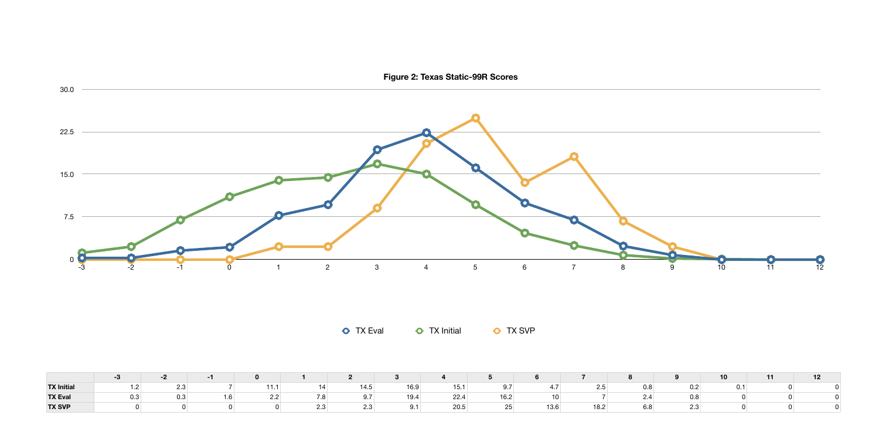|                   |  |  |  |  |  | $\begin{array}{ccccccccccccccccccccc} -3 & & -2 & & -1 & & 0 & & 1 & & 2 & & 3 & & 4 & & 5 & & 6 & & 7 & & 8 & & 9 & & 10 & & 11 & & 12 \ \end{array}$                                                                                            |  |  |  |
|-------------------|--|--|--|--|--|---------------------------------------------------------------------------------------------------------------------------------------------------------------------------------------------------------------------------------------------------|--|--|--|
| <b>TX Initial</b> |  |  |  |  |  | $1.2$ $2.3$ $7$ $11.1$ $14$ $14.5$ $16.9$ $15.1$ $9.7$ $4.7$ $2.5$ $0.8$ $0.2$ $0.1$ $0$                                                                                                                                                          |  |  |  |
| <b>TX Eval</b>    |  |  |  |  |  | $\,0.3\qquad \qquad 0.3\qquad \qquad 1.6\qquad \qquad 2.2\qquad \qquad 7.8\qquad \qquad 9.7\qquad \qquad 19.4\qquad \qquad 22.4\qquad \qquad 16.2\qquad \qquad 10\qquad \qquad 7\qquad \qquad 2.4\qquad \qquad 0.8\qquad \qquad 0\qquad \qquad 0$ |  |  |  |
| <b>TX SVP</b>     |  |  |  |  |  |                                                                                                                                                                                                                                                   |  |  |  |



**O** TX Eval **O** TX Initial **O** TX SVP

**Figure 2: Texas Static-99R Scores**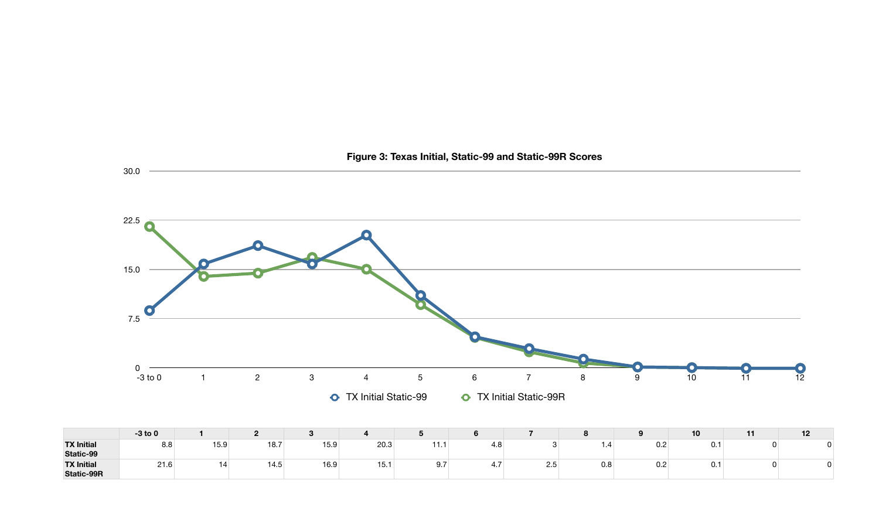|                                        | $-3$ to 0 |      |      | o    |      |           |     |     | n<br>$\Omega$                   |     | 10   | 12 |
|----------------------------------------|-----------|------|------|------|------|-----------|-----|-----|---------------------------------|-----|------|----|
| <b>TX Initial</b><br>Static-99         | 8.8       | 15.9 | 18.7 | 15.9 | 20.3 | $-1$<br>. | 4.8 |     | - 1.4                           | 0.2 | 0.1  |    |
| <b>TX Initial</b><br><b>Static-99R</b> | 21.6      |      | 14.5 | 16.9 | 15.  | 9.7       | T.I | 2.5 | $\overline{\phantom{a}}$<br>บ.ช | 0.2 | U. 1 |    |

30.0



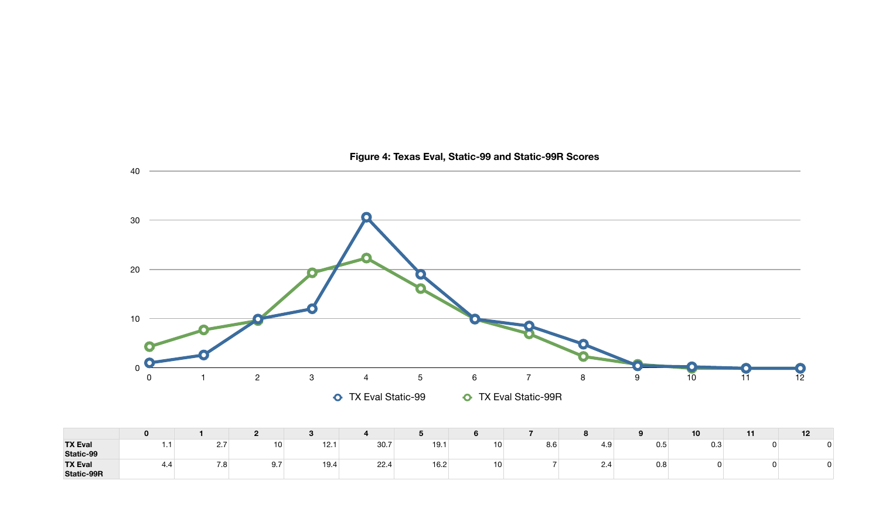|                                     |          |                         |                 | - പ  |      |      | O    |     |             | О   | 10  | - 1 | 12 |
|-------------------------------------|----------|-------------------------|-----------------|------|------|------|------|-----|-------------|-----|-----|-----|----|
| <b>TX Eval</b><br>Static-99         | . .<br>. | $\sim$ $\sim$<br>$\sim$ | 10 <sub>1</sub> | 12.1 | 30.7 | 19.1 | 10 I | 8.6 | - 4.ఎ       | 0.5 | 0.3 |     |    |
| <b>TX Eval</b><br><b>Static-99R</b> | 4.4      | 7.8                     | a.<br>J.I       | 19.4 | 22.4 | 16.2 | 10⊥  |     | C<br>$\sim$ | 0.8 |     |     |    |

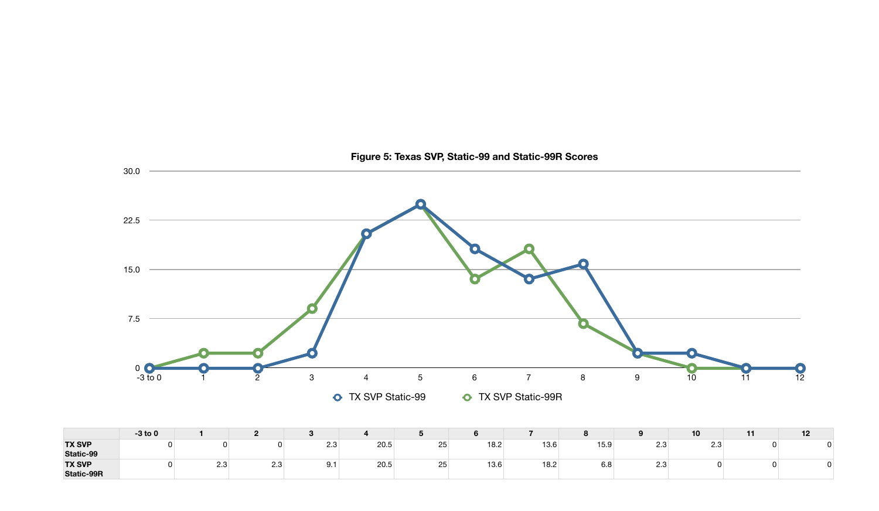|                                    | $-3$ to 0 |     | n   |           |      |          |      |      | $\bullet$<br>$\Omega$           |                 | 10  | 12 |
|------------------------------------|-----------|-----|-----|-----------|------|----------|------|------|---------------------------------|-----------------|-----|----|
| <b>TX SVP</b><br>Static-99         |           |     |     | ററ<br>د.∠ | 20.5 | つら<br>ںے | 18.2 | 13.6 | 15.9                            | $\Omega$<br>د.∠ | 2.3 |    |
| <b>TX SVP</b><br><b>Static-99R</b> |           | 2.3 | ں ے | Q 1<br>◡. | 20.5 | OF<br>ںے | 13.6 | 18.2 | $\overline{\phantom{0}}$<br>υ.ο | ററ<br>د.∠       |     |    |



**Figure 5: Texas SVP, Static-99 and Static-99R Scores**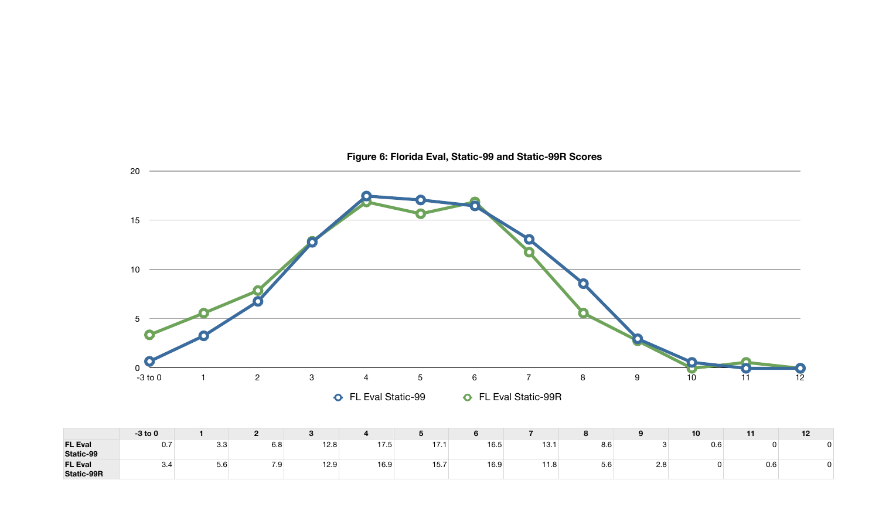|                                     | $-3$ to 0 |     | n                    |      |              |                         |      |             | <b>0</b><br>$\Omega$ |     | 10  | . . | 12 |
|-------------------------------------|-----------|-----|----------------------|------|--------------|-------------------------|------|-------------|----------------------|-----|-----|-----|----|
| <b>FL Eval</b><br>Static-99         | 0.7       | 3.3 | $\sim$ $\sim$<br>6.8 | 12.8 | 17E<br>כ. זו | $-17$<br>$\blacksquare$ | 16.5 | 13.1        | $\sim$ $\sim$<br>o.o |     | 0.6 |     |    |
| <b>FL Eval</b><br><b>Static-99R</b> | 3.4       | 5.6 | 7 Q<br>.             | 12.9 | 16.9         | 15.7                    | 16.9 | 11 O<br>1.0 | $ -$<br>5.6          | 2.8 |     | v.o |    |



**Figure 6: Florida Eval, Static-99 and Static-99R Scores**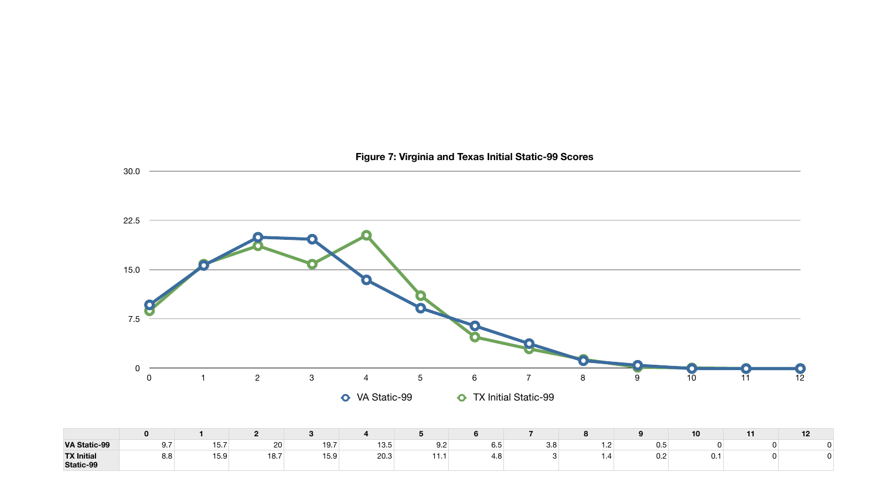|                                |     |      | n    |      |      |                | О                    |     |   |            | ιu | 12 |
|--------------------------------|-----|------|------|------|------|----------------|----------------------|-----|---|------------|----|----|
| <b>VA Static-99</b>            | 9.7 | 15.7 | 20   | 19.7 | 13.5 | QQ<br>ے. ت     | $\sim$ $\sim$<br>6.5 | 3.8 |   | ~ ~<br>U.5 |    |    |
| <b>TX Initial</b><br>Static-99 | 8.8 | 15.9 | 18.7 | 15.9 | 20.3 | $-1$ $-1$<br>. | 4.O                  |     | . | 0.2        | ັ. |    |

30.0



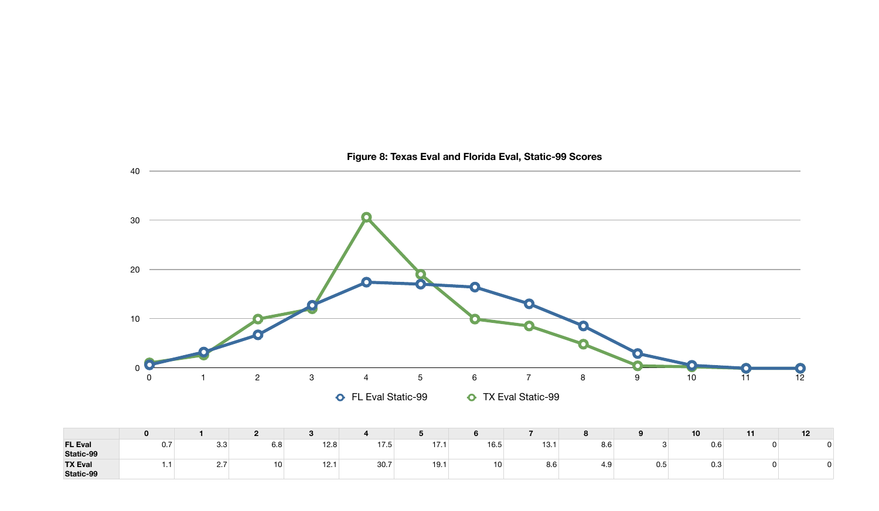|                             |          |              |     | 3    |      |            | o    |      |       | $\Omega$ | 10  | - 1 | 12 |
|-----------------------------|----------|--------------|-----|------|------|------------|------|------|-------|----------|-----|-----|----|
| <b>FL Eval</b><br>Static-99 | 0.7      | 3.3          | 6.8 | 12.8 | 17.5 | $-17$<br>. | 16.5 | 13.1 | 8.6   |          | 0.6 |     |    |
| <b>TX Eval</b><br>Static-99 | - -<br>. | $\sim \cdot$ | 10  | 12.1 | 30.7 | 19.1       | 10 I | 8.6  | - 4.ఎ | 0.5      | 0.3 |     |    |

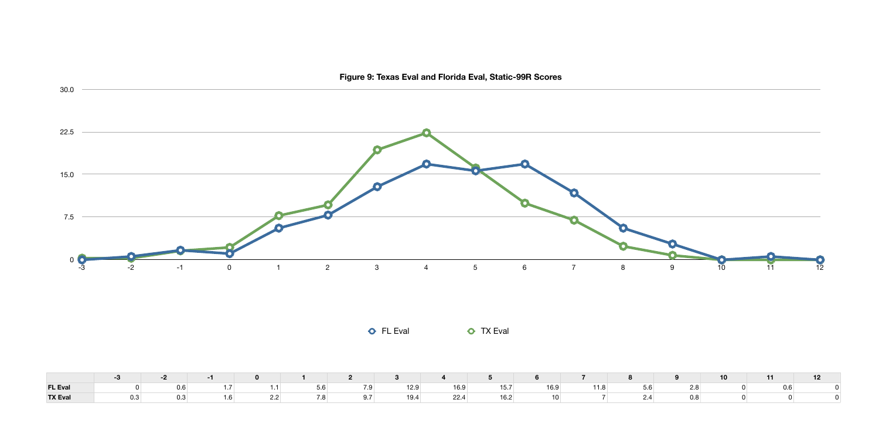| FL Eval ● 0 0.6 1.7 1.1 5.6 7.9 12.9 16.9 15.7 16.9 11.8 5.6 2.8 0 0.6 0 |  |  |  |  |                                                                                                                                                                                                                                                                                                                                                                                                        |  |  |  |  |
|--------------------------------------------------------------------------|--|--|--|--|--------------------------------------------------------------------------------------------------------------------------------------------------------------------------------------------------------------------------------------------------------------------------------------------------------------------------------------------------------------------------------------------------------|--|--|--|--|
| <b>TX Eval</b>                                                           |  |  |  |  | $\,0.3\qquad \qquad 0.3\qquad \qquad 1.6\qquad \qquad 2.2\qquad \qquad 7.8\qquad \qquad 9.7\qquad \qquad 19.4\qquad \qquad 22.4\qquad \qquad 16.2\qquad \qquad 10\qquad \qquad 7\qquad \qquad 2.4\qquad \qquad 0.8\qquad \qquad 0\qquad \qquad 0\qquad \qquad 0\qquad \qquad 0\qquad \qquad 0\qquad \qquad 0\qquad \qquad 0\qquad \qquad 0\qquad \qquad 0\qquad \qquad 0\qquad \qquad 0\qquad \qquad $ |  |  |  |  |

30.0

| <b>THE</b> |     |     | 10 |     |  |
|------------|-----|-----|----|-----|--|
| 11.8       | 5.6 | 2.8 |    | 0.6 |  |
|            | 2.4 | 0.8 |    |     |  |



**O** FL Eval **O** TX Eval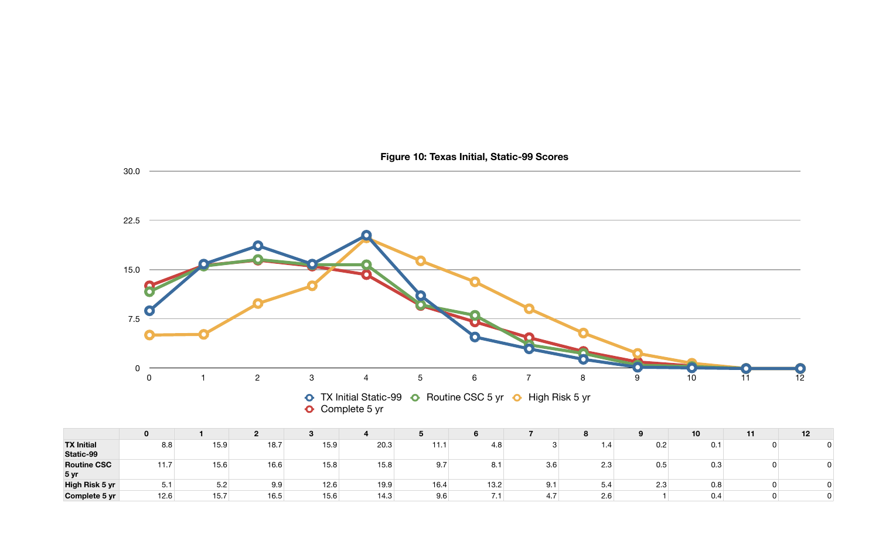**5 yr**

**High Risk 5 yr Complete 5 yr**

|      |      |      |      |      | 2 3 4 5 |      | 6 7 7      | $\overline{\phantom{a}}$ 8 |     |           | $-11/$                  | 12                      |
|------|------|------|------|------|---------|------|------------|----------------------------|-----|-----------|-------------------------|-------------------------|
| 8.8  | 15.9 | 18.7 | 15.9 | 20.3 | 11.1    | 4.8  | $3 \t 1.4$ |                            |     | $0.2$ 0.1 | $\overline{\mathbf{0}}$ | $\overline{\mathbf{0}}$ |
| 11.7 | 15.6 | 16.6 | 15.8 | 15.8 | 9.7     | 8.1  | 3.6        | 2.3                        | 0.5 | 0.3       | $\overline{0}$          | $\pmb{0}$               |
| 5.1  | 5.2  | 9.9  | 12.6 | 19.9 | 16.4    | 13.2 | 9.1        | 5.4                        | 2.3 | 0.8       | $\overline{0}$          | $\overline{\mathbf{0}}$ |
| 12.6 | 15.7 | 16.5 | 15.6 | 14.3 | 9.6     | 7.1  | 4.7        | 2.6                        |     | 0.4       | $\overline{0}$          | $\overline{\mathbf{0}}$ |



# **Figure 10: Texas Initial, Static-99 Scores**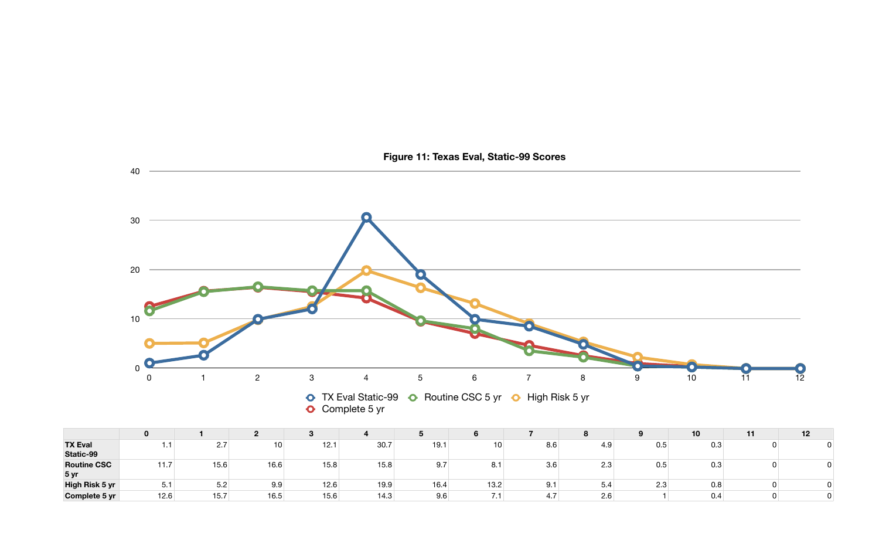|                             |      |               | -    |      |      |      | O    |     | $\mathbf o$          | $\bullet$  | 10  | 12 |
|-----------------------------|------|---------------|------|------|------|------|------|-----|----------------------|------------|-----|----|
| <b>TX Eval</b><br>Static-99 |      | っ -<br>$\sim$ | 10   | 12.1 | 30.7 | 19.1 | 10   | 8.6 | 4.9                  | 0.5        | 0.3 |    |
| <b>Routine CSC</b><br>5 yr  | .    | 15.6          | 16.6 | 15.8 | 15.8 | 9.7  | O.1  | 3.6 | $\sim$ $\sim$<br>ں.ے | 0.5        | 0.3 |    |
| High Risk 5 yr              | 5.1  | 5.2           | 9.9  | 12.6 | 19.9 | 16.4 | 13.2 | 9.1 | . O.A                | ה ה<br>د.∠ | 0.8 |    |
| Complete 5 yr               | 12.6 | 15.7          | 16.5 | 15.6 | 14.3 | 9.6  |      | 4.7 | 2.6                  |            | 0.4 |    |

| 10  | 11 | 12 |
|-----|----|----|
| 0.3 | 0  |    |
| 0.3 | 0  |    |
| 0.8 | 0  |    |
| 0.4 | ი  |    |



# **Figure 11: Texas Eval, Static-99 Scores**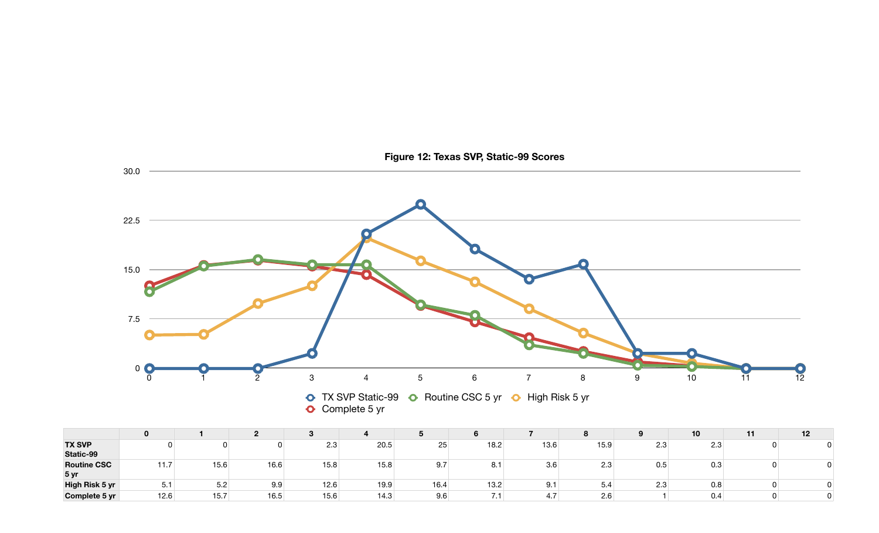|                            |      |      |      |      |      | ັ    |      |      | $\bullet$<br>$\mathbf{o}$ |           | 10  | 12 |
|----------------------------|------|------|------|------|------|------|------|------|---------------------------|-----------|-----|----|
| <b>TX SVP</b><br>Static-99 |      |      |      | 2.3  | 20.5 | 25   | 18.2 | 13.6 | 15.9                      | ററ<br>د.∠ | 2.3 |    |
| <b>Routine CSC</b><br>5 yr | 11.7 | 15.6 | 16.6 | 15.8 | 15.8 | 9.7  | 8.1  | 3.6  | າາ<br>د.∠                 | 0.5       | 0.3 |    |
| High Risk 5 yr             | ا دب | 5.2  | 9.9  | 12.6 | 19.9 | 16.4 | 13.2 | 9.1  | -<br>5.4                  | 2.3       | 0.8 |    |
| Complete 5 yr              | 12.6 | 15.7 | 16.5 | 15.6 | 14.3 | 9.6  | .    | 4.7  | $\sim$ $\sim$<br>2.6      |           | 0.4 |    |

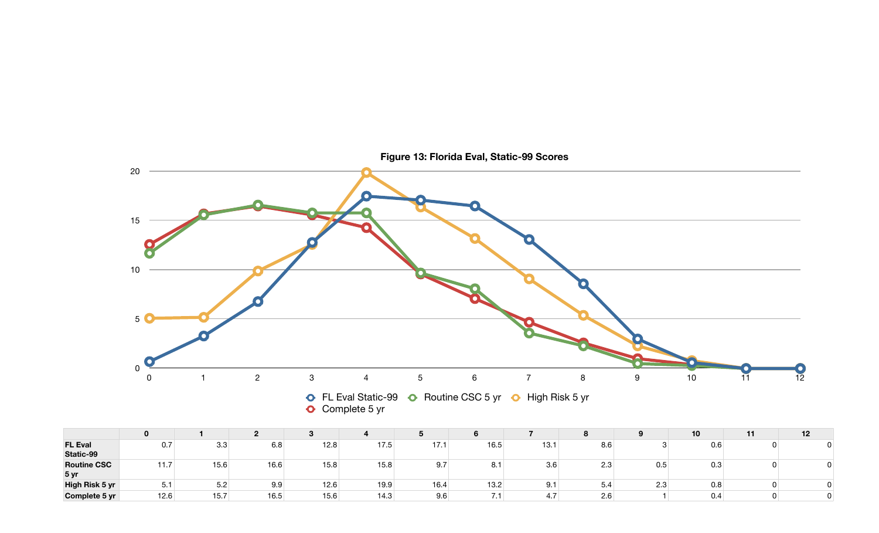|                             |      |      |      |      |      | ◡    |      |      | $\bullet$<br>$\bullet$ |     | 10 <sup>1</sup> | 12 |
|-----------------------------|------|------|------|------|------|------|------|------|------------------------|-----|-----------------|----|
| <b>FL Eval</b><br>Static-99 | 0.7  | 3.3  | 6.8  | 12.8 | 17.5 | 17.1 | 16.5 | 13.1 | $\sim$ $\sim$<br>8.6   |     | 0.6             |    |
| <b>Routine CSC</b><br>5 yr  | 11.7 | 15.6 | 16.6 | 15.8 | 15.8 | 9.7  | 8.1  | 3.6  | $\Omega$<br>ں.∠        | 0.5 | 0.3             |    |
| High Risk 5 yr              | ◡. ៲ | 5.2  | 9.9  | 12.6 | 19.9 | 16.4 | 13.2 | 9.1  | $\overline{ }$<br>5.4  | 2.3 | 0.8             |    |
| Complete 5 yr               | 12.6 | 15.7 | 16.5 | 15.6 | 14.3 | 9.6  | .    | 4.7  | 2.6                    |     | 0.4             |    |

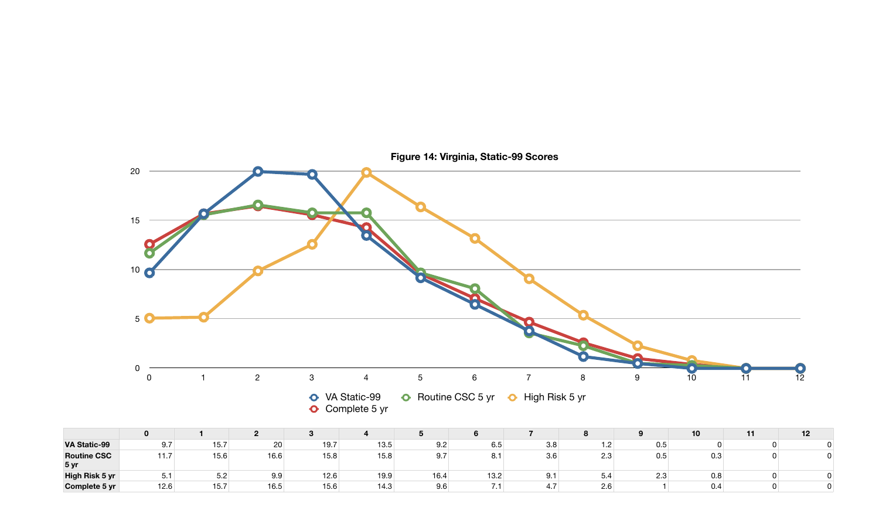|                            | 0          |           |      |      |      |      |      |                      | $\mathbf{o}$      |                      | 10 <sup>°</sup> | 12 |
|----------------------------|------------|-----------|------|------|------|------|------|----------------------|-------------------|----------------------|-----------------|----|
| <b>VA Static-99</b>        | 9.7        | 15.7      | 20   | 19.7 | 13.5 | 9.2  | 6.5  | 3.8                  | ה ו-<br>.         | 0.5                  |                 |    |
| <b>Routine CSC</b><br>5 yr | $-11$<br>. | 15.6      | 16.6 | 15.8 | 15.8 | 9.7  | 8.1  | $\sim$ $\sim$<br>3.6 | <u>ດ ດ</u><br>د.∠ | 0.5                  | 0.3             |    |
| High Risk 5 yr             | ◡.         | らっ<br>◡.∠ | 9.9  | 12.6 | 19.9 | 16.4 | 13.2 | 9.1                  | 5.4               | $\sim$ $\sim$<br>د.∠ | 0.8             |    |
| Complete 5 yr              | 12.6       | 15.7      | 16.5 | 15.6 | 14.3 | 9.6  |      | 4.7                  | 2.6               |                      | 0.4             |    |

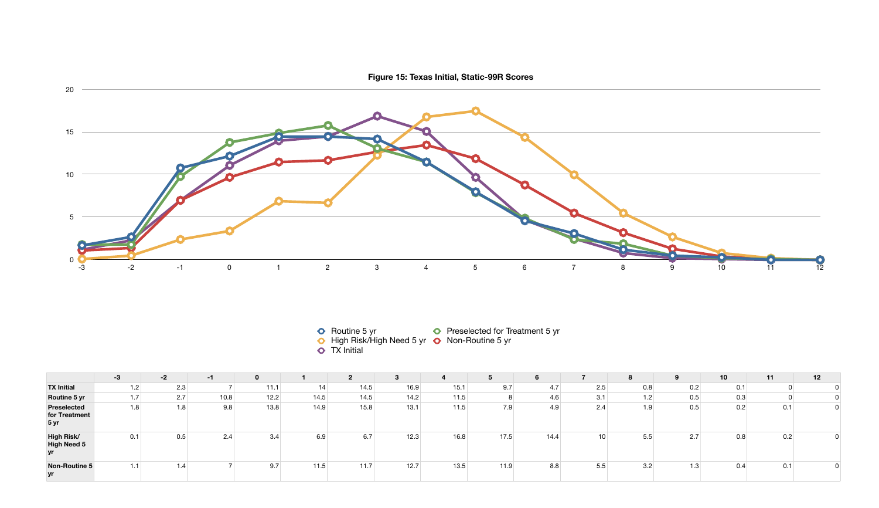|                                                        | $-3$ | $-2$ | -1   |                   |      | 2    | 3    |      |      | O    |                 | 8   | 9   | 10  | 11  | 12 |
|--------------------------------------------------------|------|------|------|-------------------|------|------|------|------|------|------|-----------------|-----|-----|-----|-----|----|
| <b>TX Initial</b>                                      | 1.2  | 2.3  |      | 11.1 <sub>1</sub> | 14   | 14.5 | 16.9 | 15.1 | 9.7  | 4.7  | 2.5             | 0.8 | 0.2 | 0.1 |     |    |
| Routine 5 yr                                           | 1.7  | 2.7  | 10.8 | 12.2              | 14.5 | 14.5 | 14.2 | 11.5 |      | 4.6  | 3.1             | 1.2 | 0.5 | 0.3 |     |    |
| <b>Preselected</b><br>for Treatment<br>5 <sub>yr</sub> | 1.8  | 1.8  | 9.8  | 13.8              | 14.9 | 15.8 | 13.1 | 11.5 | 7.9  | 4.9  | 2.4             | 1.9 | 0.5 | 0.2 | 0.1 |    |
| <b>High Risk/</b><br><b>High Need 5</b><br>yr          | 0.1  | 0.5  | 2.4  | 3.4               | 6.9  | 6.7  | 12.3 | 16.8 | 17.5 | 14.4 | 10 <sup>°</sup> | 5.5 | 2.7 | 0.8 | 0.2 |    |
| <b>Non-Routine 5</b><br>yr                             | 1.1  | 1.4  |      | 9.7               | 11.5 | 11.7 | 12.7 | 13.5 | 11.9 | 8.8  | 5.5             | 3.2 | 1.3 | 0.4 | 0.1 |    |

**Figure 15: Texas Initial, Static-99R Scores**



- Routine 5 yr **C** Preselected for Treatment 5 yr
- High Risk/High Need 5 yr **O** Non-Routine 5 yr

TX Initial

- -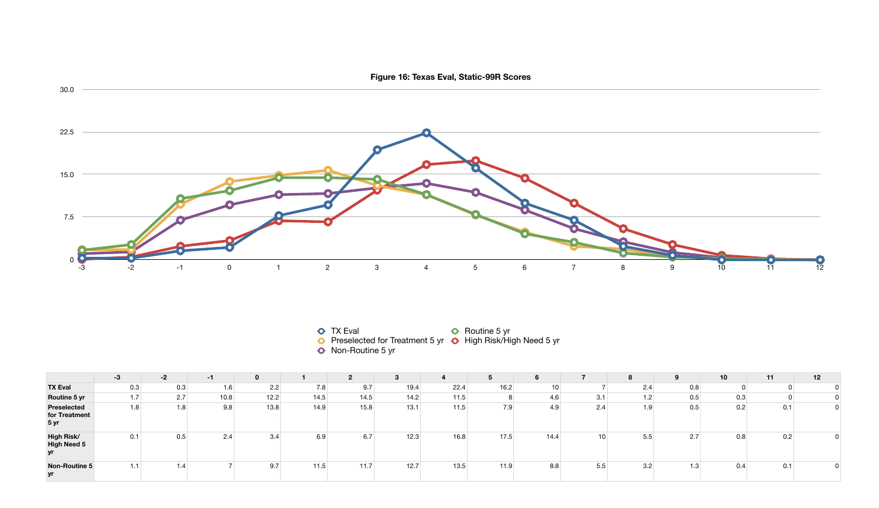|                                                        | $-3$ | $-2$ | -1   |      |      | $\mathbf{2}$ |      |      |      | $6\phantom{1}$ |                 | 8   | 9   | 10 <sup>1</sup> | 11  | 12 |
|--------------------------------------------------------|------|------|------|------|------|--------------|------|------|------|----------------|-----------------|-----|-----|-----------------|-----|----|
| <b>TX Eval</b>                                         | 0.3  | 0.3  | 1.6  | 2.2  | 7.8  | 9.7          | 19.4 | 22.4 | 16.2 | 10             |                 | 2.4 | 0.8 |                 |     |    |
| Routine 5 yr                                           | 1.7  | 2.7  | 10.8 | 12.2 | 14.5 | 14.5         | 14.2 | 11.5 | 8    | 4.6            | 3.1             | 1.2 | 0.5 | 0.3             |     |    |
| <b>Preselected</b><br>for Treatment<br>5 <sub>yr</sub> | 1.8  | 1.8  | 9.8  | 13.8 | 14.9 | 15.8         | 13.1 | 11.5 | 7.9  | 4.9            | 2.4             | 1.9 | 0.5 | 0.2             | 0.1 |    |
| <b>High Risk/</b><br><b>High Need 5</b><br>yr          | 0.1  | 0.5  | 2.4  | 3.4  | 6.9  | 6.7          | 12.3 | 16.8 | 17.5 | 14.4           | 10 <sup>1</sup> | 5.5 | 2.7 | 0.8             | 0.2 |    |
| <b>Non-Routine 5</b><br>yr                             | 1.1  | 1.4  |      | 9.7  | 11.5 | 11.7         | 12.7 | 13.5 | 11.9 | 8.8            | 5.5             | 3.2 | 1.3 | 0.4             | 0.1 |    |

- 
- TX Eval **C** Routine 5 yr
- Preselected for Treatment 5 yr **O** High Risk/High Need 5 yr
- Non-Routine 5 yr
- -

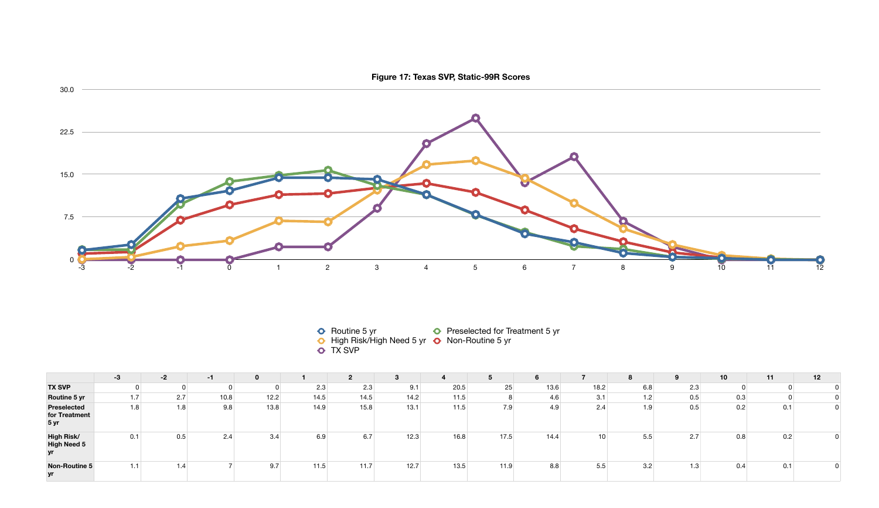|                                                        | $-3$ | $-2$ | -1   | 0    |      | 2    | n.<br>3 |      |      | O    |                 | 8   | 9   | 10  | 11  | 12 |
|--------------------------------------------------------|------|------|------|------|------|------|---------|------|------|------|-----------------|-----|-----|-----|-----|----|
| <b>TX SVP</b>                                          |      |      |      |      | 2.3  | 2.3  | 9.1     | 20.5 | 25   | 13.6 | 18.2            | 6.8 | 2.3 |     |     |    |
| Routine 5 yr                                           | 1.7  | 2.7  | 10.8 | 12.2 | 14.5 | 14.5 | 14.2    | 11.5 |      | 4.6  | 3.1             | 1.2 | 0.5 | 0.3 |     |    |
| <b>Preselected</b><br>for Treatment<br>5 <sub>yr</sub> | 1.8  | 1.8  | 9.8  | 13.8 | 14.9 | 15.8 | 13.1    | 11.5 | 7.9  | 4.9  | 2.4             | 1.9 | 0.5 | 0.2 | 0.1 |    |
| <b>High Risk/</b><br><b>High Need 5</b><br>yr          | 0.1  | 0.5  | 2.4  | 3.4  | 6.9  | 6.7  | 12.3    | 16.8 | 17.5 | 14.4 | 10 <sup>1</sup> | 5.5 | 2.7 | 0.8 | 0.2 |    |
| <b>Non-Routine 5</b><br>yr                             | 1.1  | 1.4  |      | 9.7  | 11.5 | 11.7 | 12.7    | 13.5 | 11.9 | 8.8  | 5.5             | 3.2 | 1.3 | 0.4 | 0.1 |    |

- TX SVP
- High Risk/High Need 5 yr **O** Non-Routine 5 yr
	-
- 
- 



- Routine 5 yr **C** Preselected for Treatment 5 yr
	-